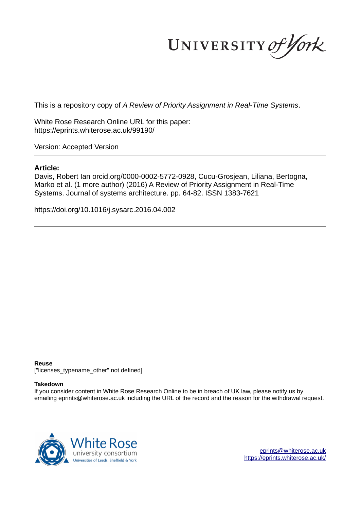UNIVERSITY of York

This is a repository copy of *A Review of Priority Assignment in Real-Time Systems*.

White Rose Research Online URL for this paper: https://eprints.whiterose.ac.uk/99190/

Version: Accepted Version

# **Article:**

Davis, Robert Ian orcid.org/0000-0002-5772-0928, Cucu-Grosjean, Liliana, Bertogna, Marko et al. (1 more author) (2016) A Review of Priority Assignment in Real-Time Systems. Journal of systems architecture. pp. 64-82. ISSN 1383-7621

https://doi.org/10.1016/j.sysarc.2016.04.002

# **Reuse**

["licenses\_typename\_other" not defined]

# **Takedown**

If you consider content in White Rose Research Online to be in breach of UK law, please notify us by emailing eprints@whiterose.ac.uk including the URL of the record and the reason for the withdrawal request.



eprints@whiterose.ac.uk https://eprints.whiterose.ac.uk/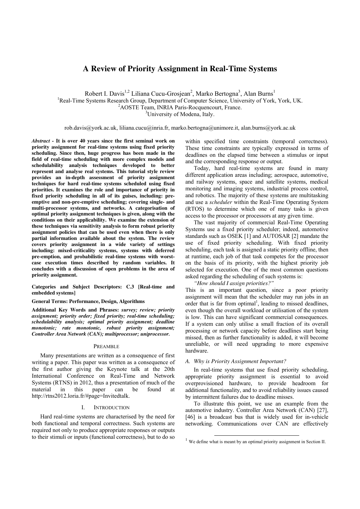# **A Review of Priority Assignment in Real-Time Systems**

Robert I. Davis<sup>1,2</sup> Liliana Cucu-Grosjean<sup>2</sup>, Marko Bertogna<sup>3</sup>, Alan Burns<sup>1</sup> <sup>1</sup>Real-Time Systems Research Group, Department of Computer Science, University of York, York, UK. <sup>2</sup>AOSTE Team, INRIA Paris-Rocquencourt, France. <sup>3</sup>University of Modena, Italy.

rob.davis@york.ac.uk, liliana.cucu@inria.fr, marko.bertogna@unimore.it, alan.burns@york.ac.uk

*Abstract -* **It is over 40 years since the first seminal work on priority assignment for real-time systems using fixed priority scheduling. Since then, huge progress has been made in the field of real-time scheduling with more complex models and schedulability analysis techniques developed to better represent and analyse real systems. This tutorial style review provides an in-depth assessment of priority assignment techniques for hard real-time systems scheduled using fixed priorities. It examines the role and importance of priority in fixed priority scheduling in all of its guises, including: preemptive and non-pre-emptive scheduling; covering single- and multi-processor systems, and networks. A categorisation of optimal priority assignment techniques is given, along with the conditions on their applicability. We examine the extension of these techniques via sensitivity analysis to form robust priority assignment policies that can be used even when there is only partial information available about the system. The review covers priority assignment in a wide variety of settings including: mixed-criticality systems, systems with deferred pre-emption, and probabilistic real-time systems with worstcase execution times described by random variables. It concludes with a discussion of open problems in the area of priority assignment.** 

**Categories and Subject Descriptors: C.3 [Real-time and embedded systems]** 

#### **General Terms: Performance, Design, Algorithms**

**Additional Key Words and Phrases:** *survey; review; priority assignment; priority order; fixed priority; real-time scheduling; schedulability analysis; optimal priority assignment; deadline monotonic; rate monotonic, robust priority assignment; Controller Area Network (CAN); multiprocessor; uniprocessor.*

### PREAMBLE

Many presentations are written as a consequence of first writing a paper. This paper was written as a consequence of the first author giving the Keynote talk at the 20th International Conference on Real-Time and Network Systems (RTNS) in 2012, thus a presentation of much of the material in this paper can be found at material in this paper can be found at http://rtns2012.loria.fr/#page=Invitedtalk.

### I. INTRODUCTION

Hard real-time systems are characterised by the need for both functional and temporal correctness. Such systems are required not only to produce appropriate responses or outputs to their stimuli or inputs (functional correctness), but to do so within specified time constraints (temporal correctness). These time constraints are typically expressed in terms of deadlines on the elapsed time between a stimulus or input and the corresponding response or output.

Today, hard real-time systems are found in many different application areas including; aerospace, automotive, and railway systems, space and satellite systems, medical monitoring and imaging systems, industrial process control, and robotics. The majority of these systems are multitasking and use a *scheduler* within the Real-Time Operating System (RTOS) to determine which one of many tasks is given access to the processor or processors at any given time.

The vast majority of commercial Real-Time Operating Systems use a fixed priority scheduler; indeed, automotive standards such as OSEK [1] and AUTOSAR [2] mandate the use of fixed priority scheduling. With fixed priority scheduling, each task is assigned a static priority offline, then at runtime, each job of that task competes for the processor on the basis of its priority, with the highest priority job selected for execution. One of the most common questions asked regarding the scheduling of such systems is:

# *"How should I assign priorities?"*

This is an important question, since a poor priority assignment will mean that the scheduler may run jobs in an order that is far from optimal<sup>1</sup>, leading to missed deadlines, even though the overall workload or utilisation of the system is low. This can have significant commercial consequences. If a system can only utilise a small fraction of its overall processing or network capacity before deadlines start being missed, then as further functionality is added, it will become unreliable, or will need upgrading to more expensive hardware.

# *A. Why is Priority Assignment Important?*

 $\overline{a}$ 

In real-time systems that use fixed priority scheduling, appropriate priority assignment is essential to avoid overprovisioned hardware, to provide headroom for additional functionality, and to avoid reliability issues caused by intermittent failures due to deadline misses.

To illustrate this point, we use an example from the automotive industry. Controller Area Network (CAN) [27], [46] is a broadcast bus that is widely used for in-vehicle networking. Communications over CAN are effectively

<sup>&</sup>lt;sup>1</sup> We define what is meant by an optimal priority assignment in Section II.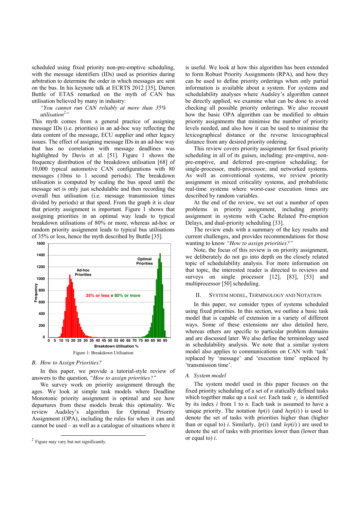scheduled using fixed priority non-pre-emptive scheduling, with the message identifiers (IDs) used as priorities during arbitration to determine the order in which messages are sent on the bus. In his keynote talk at ECRTS 2012 [35], Darren Buttle of ETAS remarked on the myth of CAN bus utilisation believed by many in industry:

# *"You cannot run CAN reliably at more than 35% utilisation<sup>2</sup> "*

This myth comes from a general practice of assigning message IDs (i.e. priorities) in an ad-hoc way reflecting the data content of the message, ECU supplier and other legacy issues. The effect of assigning message IDs in an ad-hoc way that has no correlation with message deadlines was highlighted by Davis et al. [51]. Figure 1 shows the frequency distribution of the breakdown utilisation [68] of 10,000 typical automotive CAN configurations with 80 messages (10ms to 1 second periods). The breakdown utilisation is computed by scaling the bus speed until the message set is only just schedulable and then recording the overall bus utilisation (i.e. message transmission times divided by periods) at that speed. From the graph it is clear that priority assignment is important. Figure 1 shows that assigning priorities in an optimal way leads to typical breakdown utilisations of 80% or more, whereas ad-hoc or random priority assignment leads to typical bus utilisations of 35% or less, hence the myth described by Buttle [35].



#### *B. How to Assign Priorities?*

In this paper, we provide a tutorial-style review of answers to the question, *"How to assign priorities?"*

We survey work on priority assignment through the ages. We look at simple task models where Deadline Monotonic priority assignment is optimal and see how departures from these models break this optimality. We review Audsley's algorithm for Optimal Priority Assignment (OPA), including the rules for when it can and cannot be used – as well as a catalogue of situations where it

j

is useful. We look at how this algorithm has been extended to form Robust Priority Assignments (RPA), and how they can be used to define priority orderings when only partial information is available about a system. For systems and schedulability analyses where Audsley's algorithm cannot be directly applied, we examine what can be done to avoid checking all possible priority orderings. We also recount how the basic OPA algorithm can be modified to obtain priority assignments that minimise the number of priority levels needed, and also how it can be used to minimise the lexicographical distance or the reverse lexicographical distance from any desired priority ordering.

This review covers priority assignment for fixed priority scheduling in all of its guises, including: pre-emptive, nonpre-emptive, and deferred pre-emption scheduling; for single-processor, multi-processor, and networked systems. As well as conventional systems, we review priority assignment in mixed criticality systems, and probabilistic real-time systems where worst-case execution times are described by random variables.

At the end of the review, we set out a number of open problems in priority assignment, including priority assignment in systems with Cache Related Pre-emption Delays, and dual-priority scheduling [33].

The review ends with a summary of the key results and current challenges, and provides recommendations for those wanting to know *"How to assign priorities?"* 

Note, the focus of this review is on priority assignment, we deliberately do not go into depth on the closely related topic of schedulability analysis. For more information on that topic, the interested reader is directed to reviews and surveys on single processor [12], [83], [53] and multiprocessor [50] scheduling.

#### II. SYSTEM MODEL, TERMINOLOGY AND NOTATION

In this paper, we consider types of systems scheduled using fixed priorities. In this section, we outline a basic task model that is capable of extension in a variety of different ways. Some of these extensions are also detailed here, whereas others are specific to particular problem domains and are discussed later. We also define the terminology used in schedulability analysis. We note that a similar system model also applies to communications on CAN with 'task' replaced by 'message' and 'execution time' replaced by 'transmission time'.

#### *A. System model*

The system model used in this paper focuses on the fixed priority scheduling of a set of *n* statically defined tasks which together make up a *task set*. Each task  $\tau_i$  is identified by its index *i* from 1 to *n*. Each task is assumed to have a unique priority. The notation  $hp(i)$  (and  $hep(i)$ ) is used to denote the set of tasks with priorities higher than (higher than or equal to) *i*. Similarly,  $lp(i)$  (and  $lep(i)$ ) are used to denote the set of tasks with priorities lower than (lower than or equal to) *i*.

<sup>&</sup>lt;sup>2</sup> Figure may vary but not significantly.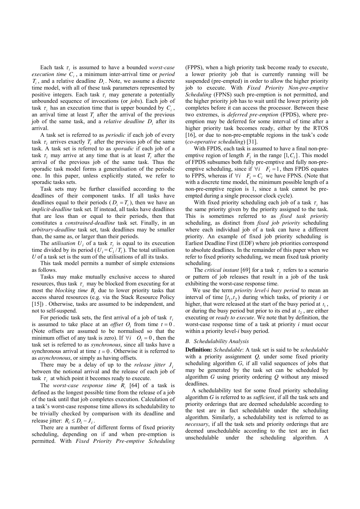Each task  $\tau_i$  is assumed to have a bounded *worst-case execution time C<sup>i</sup>* , a minimum inter-arrival time or *period*  $T_i$ , and a relative deadline  $D_i$ . Note, we assume a discrete time model, with all of these task parameters represented by positive integers. Each task  $\tau$ <sub>i</sub> may generate a potentially unbounded sequence of invocations (or *jobs*). Each job of task  $\tau$ <sub>*i*</sub> has an execution time that is upper bounded by  $C$ <sup>*i*</sup>, an arrival time at least  $T_i$  after the arrival of the previous job of the same task, and a *relative deadline D<sup>i</sup>* after its arrival.

A task set is referred to as *periodic* if each job of every task  $\tau_i$  arrives exactly  $T_i$  after the previous job of the same task. A task set is referred to as *sporadic* if each job of a task  $\tau$ <sub>*i*</sub> may arrive at any time that is at least  $T$ <sub>*i*</sub> after the arrival of the previous job of the same task. Thus the sporadic task model forms a generalisation of the periodic one. In this paper, unless explicitly stated, we refer to sporadic tasks sets.

Task sets may be further classified according to the deadlines of their component tasks. If all tasks have deadlines equal to their periods ( $D_i = T_i$ ), then we have an *implicit-deadline* task set*.* If instead, all tasks have deadlines that are less than or equal to their periods, then that constitutes a *constrained-deadline* task set. Finally, in an *arbitrary-deadline* task set, task deadlines may be smaller than, the same as, or larger than their periods.

The *utilisation*  $U_i$  of a task  $\tau_i$  is equal to its execution time divided by its period ( $U_i = C_i / T_i$ ). The total utilisation *U* of a task set is the sum of the utilisations of all its tasks.

This task model permits a number of simple extensions as follows.

Tasks may make mutually exclusive access to shared resources, thus task  $\tau$ <sub>i</sub> may be blocked from executing for at most the *blocking time*  $B_i$  due to lower priority tasks that access shared resources (e.g. via the Stack Resource Policy [15]). Otherwise, tasks are assumed to be independent, and not to self-suspend.

For periodic task sets, the first arrival of a job of task  $\tau_i$ is assumed to take place at an *offset*  $O_i$  from time  $t = 0$ . (Note offsets are assumed to be normalised so that the minimum offset of any task is zero). If  $\forall i \quad O_i = 0$ , then the task set is referred to as *synchronous*, since all tasks have a synchronous arrival at time  $t = 0$ . Otherwise it is referred to as *asynchronous*, or simply as having offsets.

There may be a delay of up to the *release jitter <sup>i</sup> J* between the notional arrival and the release of each job of task  $\tau_i$  at which point it becomes ready to execute.

The *worst-case response time*  $R_i$  [64] of a task is defined as the longest possible time from the release of a job of the task until that job completes execution. Calculation of a task's worst-case response time allows its schedulability to be trivially checked by comparison with its deadline and release jitter:  $R_i \leq D_i - J_i$ .

There are a number of different forms of fixed priority scheduling, depending on if and when pre-emption is permitted. With *Fixed Priority Pre-emptive Scheduling*

(FPPS), when a high priority task become ready to execute, a lower priority job that is currently running will be suspended (pre-empted) in order to allow the higher priority job to execute. With *Fixed Priority Non-pre-emptive Scheduling* (FPNS) such pre-emption is not permitted, and the higher priority job has to wait until the lower priority job completes before it can access the processor. Between these two extremes, is *deferred pre-emption* (FPDS), where preemption may be deferred for some interval of time after a higher priority task becomes ready, either by the RTOS [16], or due to non-pre-emptable regions in the task's code (*co-operative scheduling*) [31].

With FPDS, each task is assumed to have a final non-preemptive region of length  $F_i$  in the range  $[1, C_i]$ . This model of FPDS subsumes both fully pre-emptive and fully non-preemptive scheduling, since if  $\forall i$   $F_i = 1$ , then FPDS equates to FPPS, whereas if  $\forall i$   $F_i = C_i$  we have FPNS. (Note that with a discrete time model, the minimum possible length of a non-pre-emptive region is 1, since a task cannot be preempted during a single processor clock cycle).

With fixed priority scheduling each job of a task  $\tau_i$  has the same priority given by the priority assigned to the task. This is sometimes referred to as *fixed task priority* scheduling, as distinct from *fixed job priority* scheduling where each individual job of a task can have a different priority. An example of fixed job priority scheduling is Earliest Deadline First (EDF) where job priorities correspond to absolute deadlines. In the remainder of this paper when we refer to fixed priority scheduling, we mean fixed task priority scheduling.

The *critical instant* [69] for a task  $\tau_i$  refers to a scenario or pattern of job releases that result in a job of the task exhibiting the worst-case response time.

We use the term *priority level-i busy period* to mean an interval of time  $[t_1, t_2)$  during which tasks, of priority *i* or higher, that were released at the start of the busy period at  $t_1$ , or during the busy period but prior to its end at  $t_2$ , are either executing or *ready to execute*. We note that by definition, the worst-case response time of a task at priority *i* must occur within a priority level*-i* busy period.

### *B. Schedulability Analysis*

**Definition:** *Schedulable*: A task set is said to be *schedulable*  with a priority assignment *Q,* under some fixed priority scheduling algorithm *G*, if all valid sequences of jobs that may be generated by the task set can be scheduled by algorithm *G* using priority ordering *Q* without any missed deadlines.

A schedulability test for some fixed priority scheduling algorithm *G* is referred to as *sufficient*, if all the task sets and priority orderings that are deemed schedulable according to the test are in fact schedulable under the scheduling algorithm. Similarly, a schedulability test is referred to as *necessary*, if all the task sets and priority orderings that are deemed unschedulable according to the test are in fact unschedulable under the scheduling algorithm. A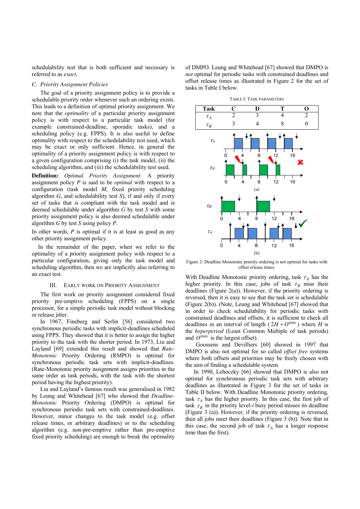schedulability test that is both sufficient and necessary is referred to as *exact*.

### *C. Priority Assignment Policies*

The goal of a priority assignment policy is to provide a schedulable priority order whenever such an ordering exists. This leads to a definition of optimal priority assignment. We note that the *optimality* of a particular priority assignment policy is with respect to a particular task model (for example constrained-deadline, sporadic tasks), and a scheduling policy (e.g. FPPS). It is also useful to define optimality with respect to the schedulability test used, which may be exact or only sufficient. Hence, in general the optimality of a priority assignment policy is with respect to a given configuration comprising (i) the task model, (ii) the scheduling algorithm, and (iii) the schedulability test used.

**Definition:** *Optimal Priority Assignment*: A priority assignment policy *P* is said to be *optimal* with respect to a configuration (task model *M*, fixed priority scheduling algorithm *G*, and schedulability test *S*), if and only if every set of tasks that is compliant with the task model and is deemed schedulable under algorithm *G* by test *S* with some priority assignment policy is also deemed schedulable under algorithm *G* by test *S* using policy *P*.

In other words, *P* is optimal if it is at least as good as any other priority assignment policy.

In the remainder of the paper, when we refer to the optimality of a priority assignment policy with respect to a particular configuration, giving only the task model and scheduling algorithm, then we are implicitly also referring to an exact test.

### III. EARLY WORK ON PRIORITY ASSIGNMENT

The first work on priority assignment considered fixed priority pre-emptive scheduling (FPPS) on a single processor, for a simple periodic task model without blocking or release jitter.

In 1967, Fineberg and Serlin [56] considered two synchronous periodic tasks with implicit-deadlines scheduled using FPPS. They showed that it is better to assign the higher priority to the task with the shorter period. In 1973, Liu and Layland [69] extended this result and showed that *Rate-Monotonic* Priority Ordering (RMPO) is optimal for synchronous periodic task sets with implicit-deadlines. (Rate-Monotonic priority assignment assigns priorities in the same order as task periods, with the task with the shortest period having the highest priority).

Liu and Layland's famous result was generalised in 1982 by Leung and Whitehead [67] who showed that *Deadline-Monotonic* Priority Ordering (DMPO) is optimal for synchronous periodic task sets with constrained-deadlines. However, minor changes to the task model (e.g. offset release times, or arbitrary deadlines) or to the scheduling algorithm (e.g. non-pre-emptive rather than pre-emptive fixed priority scheduling) are enough to break the optimality of DMPO. Leung and Whitehead [67] showed that DMPO is *not* optimal for periodic tasks with constrained deadlines and offset release times as illustrated in Figure 2 for the set of tasks in Table I below.



TABLE I: TASK PARAMETERS

Figure 2: Deadline Monotonic priority ordering is not optimal for tasks with offset release times.

With Deadline Monotonic priority ordering, task  $\tau_A$  has the higher priority. In this case, jobs of task  $\tau_B$  miss their deadlines (Figure 2(a)). However, if the priority ordering is reversed, then it is easy to see that the task set is schedulable (Figure 2(b)). (Note, Leung and Whitehead [67] showed that in order to check schedulability for periodic tasks with constrained deadlines and offsets, it is sufficient to check all deadlines in an interval of length  $(2H + O^{max})$  where *H* is the *hyperperiod* (Least Common Multiple of task periods) and  $\hat{O}^{\text{max}}$  is the largest offset).

Goossens and Devilliers [60] showed in 1997 that DMPO is also not optimal for so called *offset free* systems where both offsets and priorities may be freely chosen with the aim of finding a schedulable system.

In 1990, Lehoczky [66] showed that DMPO is also not optimal for synchronous periodic task sets with arbitrary deadlines as illustrated in Figure 3 for the set of tasks in Table II below. With Deadline Monotonic priority ordering, task  $\tau_A$  has the higher priority. In this case, the first job of task  $\tau_B$  in the priority level-*i* busy period misses its deadline (Figure 3 (a)). However, if the priority ordering is reversed, then all jobs meet their deadlines (Figure 3 (b)). Note that in this case, the second job of task  $\tau_A$  has a longer response time than the first).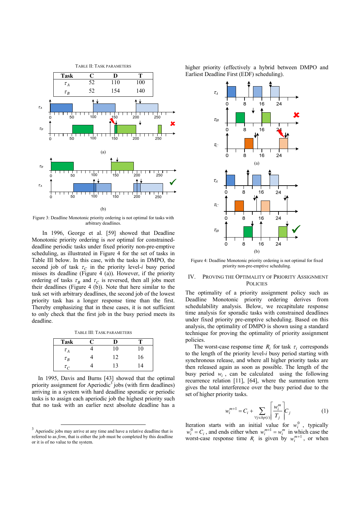

Figure 3: Deadline Monotonic priority ordering is not optimal for tasks with arbitrary deadlines.

In 1996, George et al. [59] showed that Deadline Monotonic priority ordering is *not* optimal for constraineddeadline periodic tasks under fixed priority non-pre-emptive scheduling, as illustrated in Figure 4 for the set of tasks in Table III below. In this case, with the tasks in DMPO, the second job of task  $\tau_C$  in the priority level-*i* busy period misses its deadline (Figure 4 (a)). However, if the priority ordering of tasks  $\tau_B$  and  $\tau_C$  is reversed, then all jobs meet their deadlines (Figure 4 (b)). Note that here similar to the task set with arbitrary deadlines, the second job of the lowest priority task has a longer response time than the first. Thereby emphasizing that in these cases, it is not sufficient to only check that the first job in the busy period meets its deadline.

TABLE III: TASK PARAMETERS

| <b>Task</b> |              |    |
|-------------|--------------|----|
| $\tau_{A}$  | 10           | 0  |
| $\tau_{_B}$ | 12           | 16 |
| $\tau_{C}$  | $\mathbf{R}$ | 4  |

In 1995, Davis and Burns [43] showed that the optimal priority assignment for Aperiodic<sup>3</sup> jobs (with firm deadlines) arriving in a system with hard deadline sporadic or periodic tasks is to assign each aperiodic job the highest priority such that no task with an earlier next absolute deadline has a

j

higher priority (effectively a hybrid between DMPO and Earliest Deadline First (EDF) scheduling).



Figure 4: Deadline Monotonic priority ordering is not optimal for fixed priority non-pre-emptive scheduling.

# IV. PROVING THE OPTIMALITY OF PRIORITY ASSIGNMENT **POLICIES**

The optimality of a priority assignment policy such as Deadline Monotonic priority ordering derives from schedulability analysis. Below, we recapitulate response time analysis for sporadic tasks with constrained deadlines under fixed priority pre-emptive scheduling. Based on this analysis, the optimality of DMPO is shown using a standard technique for proving the optimality of priority assignment policies.

The worst-case response time  $R_i$  for task  $\tau_i$  corresponds to the length of the priority level-*i* busy period starting with synchronous release, and where all higher priority tasks are then released again as soon as possible. The length of the busy period  $w_i$ , can be calculated using the following recurrence relation [11], [64], where the summation term gives the total interference over the busy period due to the set of higher priority tasks.

$$
w_i^{m+1} = C_i + \sum_{\forall j \in hp(i)} \left| \frac{w_i^m}{T_j} \right| C_j \tag{1}
$$

Iteration starts with an initial value for  $w_i^0$ , typically  $w_i^0 = C_i$ , and ends either when  $w_i^{m+1} = w_i^m$  in which case the worst-case response time  $R_i$  is given by  $w_i^{m+1}$ , or when

 $3$  Aperiodic jobs may arrive at any time and have a relative deadline that is referred to as *firm*, that is either the job must be completed by this deadline or it is of no value to the system.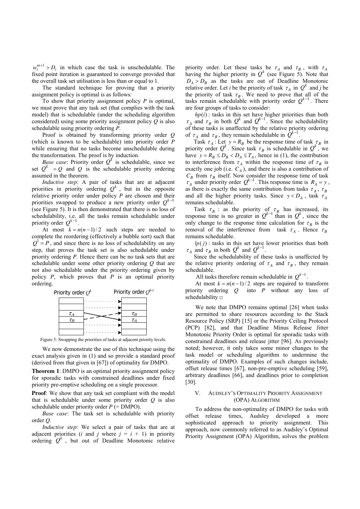$w_i^{m+1} > D_i$  in which case the task is unschedulable. The fixed point iteration is guaranteed to converge provided that the overall task set utilisation is less than or equal to 1.

The standard technique for proving that a priority assignment policy is optimal is as follows:

To show that priority assignment policy *P* is optimal, we must prove that any task set (that complies with the task model) that is schedulable (under the scheduling algorithm considered) using some priority assignment policy *Q* is also schedulable using priority ordering *P*.

Proof is obtained by transforming priority order *Q*  (which is known to be schedulable) into priority order *P* while ensuring that no tasks become unschedulable during the transformation. The proof is by induction.

*Base case*: Priority order  $Q^k$  is schedulable, since we set  $Q^k = Q$  and  $Q$  is the schedulable priority ordering assumed in the theorem.

*Inductive step*: A pair of tasks that are at adjacent priorities in priority ordering  $Q^k$ , but in the opposite relative priority order under policy *P* are chosen and their priorities swapped to produce a new priority order  $Q^{k-1}$ (see Figure 5). It is then demonstrated that there is no loss of schedulability, i.e. all the tasks remain schedulable under priority order  $Q^{k-1}$ 

At most  $k = n(n-1)/2$  such steps are needed to complete the reordering (effectively a bubble sort) such that  $Q^1$  = *P*, and since there is no loss of schedulability on any step, that proves the task set is also schedulable under priority ordering *P*. Hence there can be no task sets that are schedulable under some other priority ordering *Q* that are not also schedulable under the priority ordering given by policy *P*, which proves that *P* is an optimal priority ordering.



Figure 5: Swapping the priorities of tasks at adjacent priority levels.

We now demonstrate the use of this technique using the exact analysis given in (1) and so provide a standard proof (derived from that given in [67]) of optimality for DMPO.

**Theorem 1**: DMPO is an optimal priority assignment policy for sporadic tasks with constrained deadlines under fixed priority pre-emptive scheduling on a single processor.

**Proof**: We show that any task set compliant with the model that is schedulable under some priority order *Q* is also schedulable under priority order *P* (= DMPO).

*Base case*: The task set is schedulable with priority order *Q.* 

*Inductive step*: We select a pair of tasks that are at adjacent priorities (*i* and *j* where  $j = i + 1$ ) in priority ordering  $Q^k$ , but out of Deadline Monotonic relative

priority order. Let these tasks be  $\tau_A$  and  $\tau_B$ , with  $\tau_A$ having the higher priority in  $Q^k$  (see Figure 5). Note that  $D_A > D_B$  as the tasks are out of Deadline Monotonic relative order. Let *i* be the priority of task  $\tau_A$  in  $Q^k$  and *j* be the priority of task  $\tau_B$ . We need to prove that all of the tasks remain schedulable with priority order  $Q^{k-1}$ . There are four groups of tasks to consider:

 $hp(i)$ : tasks in this set have higher priorities than both  $\tau_A$  and  $\tau_B$  in both  $Q^k$  and  $Q^{k-1}$ . Since the schedulability of these tasks is unaffected by the relative priority ordering of  $\tau_A$  and  $\tau_B$ , they remain schedulable in  $\dot{Q}^{k-1}$ .

Task  $\tau_A$ : Let  $y = R_B$  be the response time of task  $\tau_B$  in priority order  $Q^k$ . Since task  $\tau_B$  is schedulable in  $Q^k$ , we have  $y = R_B \le D_B < D_A \le T_A$ , hence in (1), the contribution to interference from  $\tau_A$  within the response time of  $\tau_B$  is exactly one job (i.e.  $C_A$ ), and there is also a contribution of  $C_B$  from  $\tau_B$  itself. Now consider the response time of task  $\tau_A$  under priority order  $Q^{k-1}$ . This response time is  $R_A = y$ , as there is exactly the same contribution from tasks  $\tau_A$ ,  $\tau_B$ and all the higher priority tasks. Since  $y < D_A$ , task  $\tau_A$ remains schedulable.

Task  $\tau_B$  : as the priority of  $\tau_B$  has increased, its response time is no greater in  $Q^{k-1}$  than in  $Q^k$ , since the only change to the response time calculation for  $\tau_B$  is the removal of the interference from task  $\tau_A$ . Hence  $\tau_B$ remains schedulable.

 $lp(j)$ : tasks in this set have lower priorities than both  $\tau_A$  and  $\tau_B$  in both  $Q^k$  and  $Q^{k-1}$ .

Since the schedulability of these tasks is unaffected by the relative priority ordering of  $\tau_A$  and  $\tau_B$ , they remain schedulable.

All tasks therefore remain schedulable in  $O^{k-1}$ .

At most  $k = n(n-1)/2$  steps are required to transform priority ordering *Q* into *P* without any loss of schedulability □

We note that DMPO remains optimal [26] when tasks are permitted to share resources according to the Stack Resource Policy (SRP) [15] or the Priority Ceiling Protocol (PCP) [82], and that Deadline Minus Release Jitter Monotonic Priority Order is optimal for sporadic tasks with constrained deadlines and release jitter [96]. As previously noted; however, it only takes some minor changes to the task model or scheduling algorithm to undermine the optimality of DMPO. Examples of such changes include, offset release times [67], non-pre-emptive scheduling [59], arbitrary deadlines [66], and deadlines prior to completion [30].

# V. AUDSLEY'S OPTIMALITY PRIORITY ASSIGNMENT (OPA) ALGORITHM

To address the non-optimality of DMPO for tasks with offset release times, Audsley developed a more sophisticated approach to priority assignment. This approach, now commonly referred to as Audsley's Optimal Priority Assignment (OPA) Algorithm, solves the problem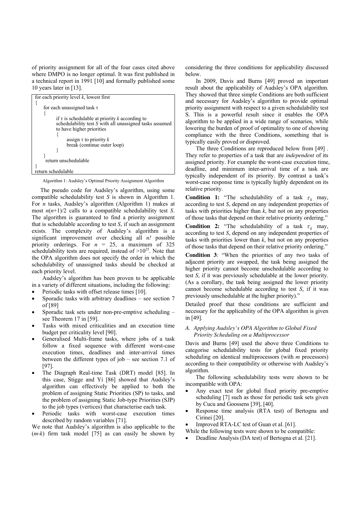of priority assignment for all of the four cases cited above where DMPO is no longer optimal. It was first published in a technical report in 1991 [10] and formally published some 10 years later in [13].

| for each priority level $k$ , lowest first              |  |  |  |  |
|---------------------------------------------------------|--|--|--|--|
|                                                         |  |  |  |  |
|                                                         |  |  |  |  |
| for each unassigned task $\tau$                         |  |  |  |  |
|                                                         |  |  |  |  |
| if $\tau$ is schedulable at priority k according to     |  |  |  |  |
|                                                         |  |  |  |  |
| schedulability test S with all unassigned tasks assumed |  |  |  |  |
| to have higher priorities                               |  |  |  |  |
|                                                         |  |  |  |  |
|                                                         |  |  |  |  |
| assign $\tau$ to priority k                             |  |  |  |  |
| break (continue outer loop)                             |  |  |  |  |
|                                                         |  |  |  |  |
|                                                         |  |  |  |  |
|                                                         |  |  |  |  |
|                                                         |  |  |  |  |
| return unschedulable                                    |  |  |  |  |
|                                                         |  |  |  |  |
|                                                         |  |  |  |  |
| return schedulable                                      |  |  |  |  |

Algorithm 1: Audsley's Optimal Priority Assignment Algorithm

The pseudo code for Audsley's algorithm, using some compatible schedulability test *S* is shown in Algorithm 1. For *n* tasks, Audsley's algorithm (Algorithm 1) makes at most  $n(n+1)/2$  calls to a compatible schedulability test *S*. The algorithm is guaranteed to find a priority assignment that is schedulable according to test *S*, if such an assignment exists. The complexity of Audsley's algorithm is a significant improvement over checking all *n!* possible priority orderings. For  $n = 25$ , a maximum of 325 schedulability tests are required, instead of  $>10^{25}$ . Note that the OPA algorithm does not specify the order in which the schedulability of unassigned tasks should be checked at each priority level.

Audsley's algorithm has been proven to be applicable in a variety of different situations, including the following:

- Periodic tasks with offset release times [10].
- Sporadic tasks with arbitrary deadlines see section 7 of [89]
- Sporadic task sets under non-pre-emptive scheduling see Theorem 17 in [59].
- Tasks with mixed criticalities and an execution time budget per criticality level [90].
- Generalised Multi-frame tasks, where jobs of a task follow a fixed sequence with different worst-case execution times, deadlines and inter-arrival times between the different types of job – see section 7.1 of [97].
- The Diagraph Real-time Task (DRT) model [85]. In this case, Stigge and Yi [86] showed that Audsley's algorithm can effectively be applied to both the problem of assigning Static Priorities (SP) to tasks, and the problem of assigning Static Job-type Priorities (SJP) to the job types (vertices) that characterise each task.
- Periodic tasks with worst-case execution times described by random variables [71].

We note that Audsley's algorithm is also applicable to the (*m*-*k*) firm task model [75] as can easily be shown by considering the three conditions for applicability discussed below.

In 2009, Davis and Burns [49] proved an important result about the applicability of Audsley's OPA algorithm. They showed that three simple Conditions are both sufficient and necessary for Audsley's algorithm to provide optimal priority assignment with respect to a given schedulability test S. This is a powerful result since it enables the OPA algorithm to be applied in a wide range of scenarios, while lowering the burden of proof of optimality to one of showing compliance with the three Conditions, something that is typically easily proved or disproved.

The three Conditions are reproduced below from [49] . They refer to properties of a task that are *independent* of its assigned priority. For example the worst-case execution time, deadline, and minimum inter-arrival time of a task are typically independent of its priority. By contrast a task's worst-case response time is typically highly dependent on its relative priority.

**Condition 1:** "The schedulability of a task  $\tau_k$  may, according to test *S*, depend on any independent properties of tasks with priorities higher than *k*, but not on any properties of those tasks that depend on their relative priority ordering."

**Condition 2:** "The schedulability of a task  $\tau_k$  may, according to test *S*, depend on any independent properties of tasks with priorities lower than *k*, but not on any properties of those tasks that depend on their relative priority ordering."

**Condition 3**: "When the priorities of any two tasks of adjacent priority are swapped, the task being assigned the higher priority cannot become unschedulable according to test *S*, if it was previously schedulable at the lower priority. (As a corollary, the task being assigned the lower priority cannot become schedulable according to test *S*, if it was previously unschedulable at the higher priority)."

Detailed proof that these conditions are sufficient and necessary for the applicability of the OPA algorithm is given in [49].

# *A. Applying Audsley's OPA Algorithm to Global Fixed Priority Scheduling on a Multiprocessor*

Davis and Burns [49] used the above three Conditions to categorise schedulability tests for global fixed priority scheduling on identical multiprocessors (with *m* processors) according to their compatibility or otherwise with Audsley's algorithm.

The following schedulability tests were shown to be incompatible with OPA:

- Any exact test for global fixed priority pre-emptive scheduling [7] such as those for periodic task sets given by Cucu and Goossens [39], [40].
- Response time analysis (RTA test) of Bertogna and Cirinei [20].

Improved RTA-LC test of Guan et al. [61].

- While the following tests were shown to be compatible:
- Deadline Analysis (DA test) of Bertogna et al. [21].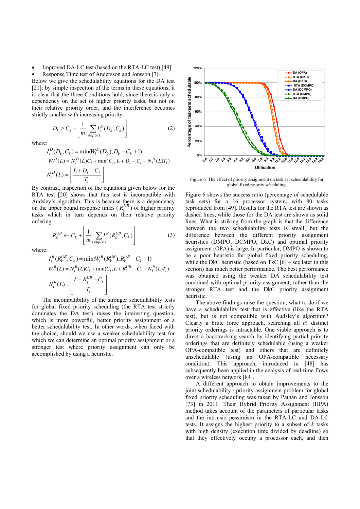Improved DA-LC test (based on the RTA-LC test) [49].

 Response Time test of Andersson and Jonsson [7]. Below we give the schedulability equations for the DA test [21]; by simple inspection of the terms in these equations, it is clear that the three Conditions hold, since there is only a dependency on the set of higher priority tasks, but not on their relative priority order, and the interference becomes strictly smaller with increasing priority.

$$
D_k \ge C_k + \left[ \frac{1}{m} \sum_{i \in hp(k)} I_i^D(D_k, C_k) \right]
$$
 (2)

where:

$$
I_i^D(D_k, C_k) = \min(W_i^D(D_k), D_k - C_k + 1)
$$
  
\n
$$
W_i^D(L) = N_i^D(L)C_i + \min(C_i, L + D_i - C_i - N_i^D(L)T_i)
$$
  
\n
$$
N_i^D(L) = \left[ \frac{L + D_i - C_i}{T_i} \right]
$$

By contrast, inspection of the equations given below for the RTA test [20] shows that this test is incompatible with Audsley's algorithm. This is because there is a dependency on the upper bound response times ( $R_i^{UB}$ ) of higher priority tasks which in turn depends on their relative priority ordering.

$$
R_k^{UB} \leftarrow C_k + \left\lfloor \frac{1}{m} \sum_{i \in hp(k)} I_i^R(R_k^{UB}, C_k) \right\rfloor \tag{3}
$$

where:

$$
I_i^R(R_k^{UB}, C_k) = \min(W_i^R(R_k^{UB}), R_k^{UB} - C_k + 1)
$$
  
\n
$$
W_i^R(L) = N_i^R(L)C_i + \min(C_i, L + R_i^{UB} - C_i - N_i^R(L)T_i)
$$
  
\n
$$
N_i^R(L) = \left[ \frac{L + R_i^{UB} - C_i}{T_i} \right]
$$

The incompatibility of the stronger schedulability tests for global fixed priority scheduling (the RTA test strictly dominates the DA test) raises the interesting question, which is more powerful, better priority assignment or a better schedulability test. In other words, when faced with the choice, should we use a weaker schedulability test for which we can determine an optimal priority assignment or a stronger test where priority assignment can only be accomplished by using a heuristic.



Figure 6: The effect of priority assignment on task set schedulability for global fixed priority scheduling.

Figure 6 shows the success ratio (percentage of schedulable task sets) for a 16 processor system, with 80 tasks reproduced from [49]. Results for the RTA test are shown as dashed lines, while those for the DA test are shown as solid lines. What is striking from the graph is that the difference between the two schedulability tests is small, but the difference between the different priority assignment heuristics (DMPO, DCMPO, DkC) and optimal priority assignment (OPA) is large. In particular, DMPO is shown to be a poor heuristic for global fixed priority scheduling, while the DkC heuristic (based on TkC  $[6]$  – see later in this section) has much better performance. The best performance was obtained using the weaker DA schedulability test combined with optimal priority assignment, rather than the stronger RTA test and the DkC priority assignment heuristic.

The above findings raise the question, what to do if we have a schedulability test that is effective (like the RTA test), but is not compatible with Audsley's algorithm? Clearly a brute force approach, searching all *n*! distinct priority orderings is intractable. One viable approach is to direct a backtracking search by identifying partial priority orderings that are definitely schedulable (using a weaker OPA-compatible test) and others that are definitely unschedulable (using an OPA-compatible necessary condition). This approach, introduced in [48] has subsequently been applied in the analysis of real-time flows over a wireless network [84].

A different approach to obtain improvements to the joint schedulability / priority assignment problem for global fixed priority scheduling was taken by Pathan and Jonsson [73] in 2011. Their Hybrid Priority Assignment (HPA) method takes account of the parameters of particular tasks and the intrinsic pessimism in the RTA-LC and DA-LC tests. It assigns the highest priority to a subset of *k* tasks with high density (execution time divided by deadline) so that they effectively occupy a processor each, and then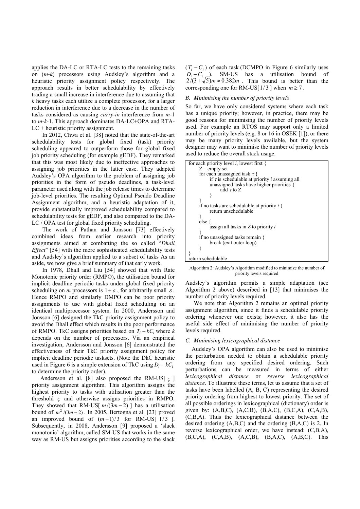applies the DA-LC or RTA-LC tests to the remaining tasks on (*m*-*k*) processors using Audsley's algorithm and a heuristic priority assignment policy respectively. The approach results in better schedulability by effectively trading a small increase in interference due to assuming that *k* heavy tasks each utilize a complete processor, for a larger reduction in interference due to a decrease in the number of tasks considered as causing *carry-in* interference from *m-*1 to *m*-*k-*1. This approach dominates DA-LC+OPA and RTA-LC + heuristic priority assignment.

In 2012, Chwa et al. [38] noted that the state-of-the-art schedulability tests for global fixed (task) priority scheduling appeared to outperform those for global fixed job priority scheduling (for example gEDF). They remarked that this was most likely due to ineffective approaches to assigning job priorities in the latter case. They adapted Audsley's OPA algorithm to the problem of assigning job priorities in the form of pseudo deadlines, a task-level parameter used along with the job release times to determine job-level priorities. The resulting Optimal Pseudo Deadline Assignment algorithm, and a heuristic adaptation of it, provide substantially improved schedulability compared to schedulability tests for gEDF, and also compared to the DA-LC / OPA test for global fixed priority scheduling.

The work of Pathan and Jonsson [73] effectively combined ideas from earlier research into priority assignments aimed at combatting the so called "*Dhall Effect*" [54] with the more sophisticated schedulability tests and Audsley's algorithm applied to a subset of tasks As an aside, we now give a brief summary of that early work.

In 1978, Dhall and Liu [54] showed that with Rate Monotonic priority order (RMPO), the utilisation bound for implicit deadline periodic tasks under global fixed priority scheduling on *m* processors is  $1 + \varepsilon$ , for arbitrarily small  $\varepsilon$ . Hence RMPO and similarly DMPO can be poor priority assignments to use with global fixed scheduling on an identical multiprocessor system. In 2000, Andersson and Jonsson [6] designed the TkC priority assignment policy to avoid the Dhall effect which results in the poor performance of RMPO. TkC assigns priorities based on  $T_i - kC_i$  where  $k$ depends on the number of processors. Via an empirical investigation, Andersson and Jonsson [6] demonstrated the effectiveness of their TkC priority assignment policy for implicit deadline periodic tasksets. (Note the DkC heuristic used in Figure 6 is a simple extension of TkC using  $D_i - kC_i$ to determine the priority order).

Andersson et al. [8] also proposed the RM-US $\lceil c \rceil$ priority assignment algorithm. This algorithm assigns the highest priority to tasks with utilisation greater than the threshold  $\zeta$  and otherwise assigns priorities in RMPO. They showed that RM-US[ $m/(3m-2)$ ] has a utilisation bound of  $m^2/(3m-2)$ . In 2005, Bertogna et al. [23] proved an improved bound of  $(m+1)/3$  for RM-US[  $1/3$  ]. Subsequently, in 2008, Andersson [9] proposed a 'slack monotonic' algorithm, called SM-US that works in the same way as RM-US but assigns priorities according to the slack

 $(T_i - C_i)$  of each task (DCMPO in Figure 6 similarly uses  $D_i - C_i$ . SM-US has a utilisation bound of  $2/(3 + \sqrt{5})m \approx 0.382m$ . This bound is better than the corresponding one for RM-US[ $1/3$ ] when  $m \ge 7$ .

### *B. Minimising the number of priority levels*

So far, we have only considered systems where each task has a unique priority; however, in practice, there may be good reasons for minimising the number of priority levels used. For example an RTOS may support only a limited number of priority levels (e.g. 8 or 16 in OSEK [1]), or there may be many priority levels available, but the system designer may want to minimise the number of priority levels used to reduce the overall stack usage.



Algorithm 2: Audsley's Algorithm modified to minimize the number of priority levels required

Audsley's algorithm permits a simple adaptation (see Algorithm 2 above) described in [13] that minimises the number of priority levels required.

We note that Algorithm 2 remains an optimal priority assignment algorithm, since it finds a schedulable priority ordering whenever one exists; however, it also has the useful side effect of minimising the number of priority levels required.

# *C. Minimising lexicographical distance*

Audsley's OPA algorithm can also be used to minimise the perturbation needed to obtain a schedulable priority ordering from any specified desired ordering. Such perturbations can be measured in terms of either *lexicographical distance* or *reverse lexicographical distance*. To illustrate these terms, let us assume that a set of tasks have been labelled (A, B, C) representing the desired priority ordering from highest to lowest priority. The set of all possible orderings in lexicographical (dictionary) order is given by:  $(A,B,C)$ ,  $(A,C,B)$ ,  $(B,A,C)$ ,  $(B,C,A)$ ,  $(C,A,B)$ , (C,B,A). Thus the lexicographical distance between the desired ordering (A,B,C) and the ordering (B,A,C) is 2. In reverse lexicographical order, we have instead: (C,B,A), (B,C,A), (C,A,B), (A,C,B), (B,A,C), (A,B,C). This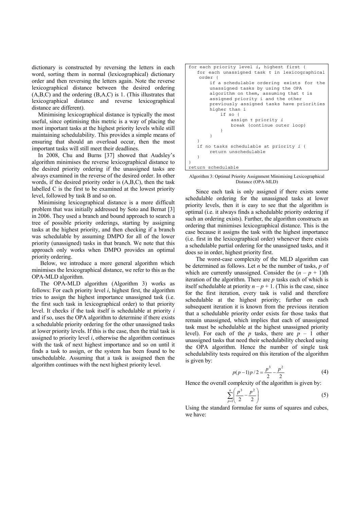dictionary is constructed by reversing the letters in each word, sorting them in normal (lexicographical) dictionary order and then reversing the letters again. Note the reverse lexicographical distance between the desired ordering (A,B,C) and the ordering (B,A,C) is 1. (This illustrates that lexicographical distance and reverse lexicographical distance are different).

Minimising lexicographical distance is typically the most useful, since optimising this metric is a way of placing the most important tasks at the highest priority levels while still maintaining schedulability. This provides a simple means of ensuring that should an overload occur, then the most important tasks will still meet their deadlines.

In 2008, Chu and Burns [37] showed that Audsley's algorithm minimises the reverse lexicographical distance to the desired priority ordering if the unassigned tasks are always examined in the reverse of the desired order. In other words, if the desired priority order is (A,B,C), then the task labelled C is the first to be examined at the lowest priority level, followed by task B and so on.

Minimising lexicographical distance is a more difficult problem that was initially addressed by Soto and Bernat [3] in 2006. They used a branch and bound approach to search a tree of possible priority orderings, starting by assigning tasks at the highest priority, and then checking if a branch was schedulable by assuming DMPO for all of the lower priority (unassigned) tasks in that branch. We note that this approach only works when DMPO provides an optimal priority ordering.

Below, we introduce a more general algorithm which minimises the lexicographical distance, we refer to this as the OPA-MLD algorithm.

The OPA-MLD algorithm (Algorithm 3) works as follows: For each priority level  $i$ , highest first, the algorithm tries to assign the highest importance unassigned task (i.e. the first such task in lexicographical order) to that priority level. It checks if the task itself is schedulable at priority *i* and if so, uses the OPA algorithm to determine if there exists a schedulable priority ordering for the other unassigned tasks at lower priority levels. If this is the case, then the trial task is assigned to priority level *i*, otherwise the algorithm continues with the task of next highest importance and so on until it finds a task to assign, or the system has been found to be unschedulable. Assuming that a task is assigned then the algorithm continues with the next highest priority level.

```
for each priority level i, highest first { 
   for each unassigned task \tau in lexicographical
     order { 
         if a schedulable ordering exists for the 
         unassigned tasks by using the OPA 
        algorithm on them, assuming that \tau is
         assigned priority i and the other 
         previously assigned tasks have priorities 
         higher than i 
             if so { 
                assign \tau priority i
                 break (continue outer loop) 
    } 
    } 
   } 
   if no tasks schedulable at priority i { 
         return unschedulable 
   } 
} 
return schedulable
```
Algorithm 3: Optimal Priority Assignment Minimising Lexicographical Distance (OPA-MLD)

Since each task is only assigned if there exists some schedulable ordering for the unassigned tasks at lower priority levels, then it is easy to see that the algorithm is optimal (i.e. it always finds a schedulable priority ordering if such an ordering exists). Further, the algorithm constructs an ordering that minimises lexicographical distance. This is the case because it assigns the task with the highest importance (i.e. first in the lexicographical order) whenever there exists a schedulable partial ordering for the unassigned tasks, and it does so in order, highest priority first.

The worst-case complexity of the MLD algorithm can be determined as follows. Let *n* be the number of tasks, *p* of which are currently unassigned. Consider the  $(n - p + 1)$ th iteration of the algorithm. There are *p* tasks each of which is itself schedulable at priority  $n - p + 1$ . (This is the case, since for the first iteration, every task is valid and therefore schedulable at the highest priority; further on each subsequent iteration it is known from the previous iteration that a schedulable priority order exists for those tasks that remain unassigned, which implies that each of unassigned task must be schedulable at the highest unassigned priority level). For each of the  $p$  tasks, there are  $p - 1$  other unassigned tasks that need their schedulability checked using the OPA algorithm. Hence the number of single task schedulability tests required on this iteration of the algorithm is given by:

$$
p(p-1)p/2 = \frac{p^3}{2} - \frac{p^2}{2}
$$
 (4)

Hence the overall complexity of the algorithm is given by:

$$
\sum_{p=1}^{n} \left( \frac{p^3}{2} - \frac{p^2}{2} \right)
$$
 (5)

Using the standard formulae for sums of squares and cubes, we have: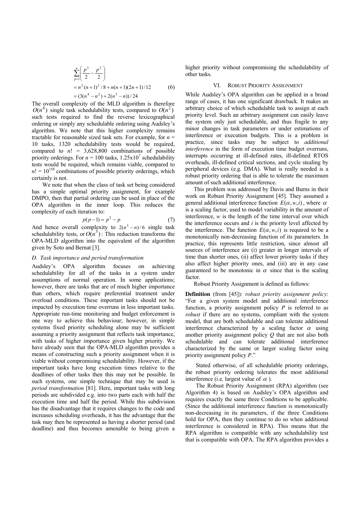$$
\sum_{p=1}^{n} \left( \frac{p^3}{2} - \frac{p^2}{2} \right)
$$
  
=  $n^2 (n+1)^2 / 8 + n(n+1)(2n+1)/12$  (6)  
=  $(3(n^4 - n^2) + 2(n^3 - n))/24$ 

The overall complexity of the MLD algorithm is therefore  $O(n^4)$  single task schedulability tests, compared to  $O(n^2)$ such tests required to find the reverse lexicographical ordering or simply any schedulable ordering using Audsley's algorithm. We note that this higher complexity remains tractable for reasonable sized task sets. For example, for  $n =$ 10 tasks, 1320 schedulability tests would be required, compared to  $n! = 3.628,800$  combinations of possible priority orderings. For  $n = 100$  tasks,  $1.25 \times 10^7$  schedulability tests would be required, which remains viable, compared to  $n! = 10^{158}$  combinations of possible priority orderings, which certainly is not.

We note that when the class of task set being considered has a simple optimal priority assignment, for example DMPO, then that partial ordering can be used in place of the OPA algorithm in the inner loop. This reduces the complexity of each iteration to:

$$
p(p-1) = p^2 - p \tag{7}
$$

And hence overall complexity to  $2(n^3 - n)/6$  single task schedulability tests, or  $O(n^3)$ : This reduction transforms the OPA-MLD algorithm into the equivalent of the algorithm given by Soto and Bernat [3].

# *D. Task importance and period transformation*

Audsley's OPA algorithm focuses on achieving schedulability for all of the tasks in a system under assumptions of normal operation. In some applications; however, there are tasks that are of much higher importance than others, which require preferential treatment under overload conditions. These important tasks should not be impacted by execution time overruns in less important tasks. Appropriate run-time monitoring and budget enforcement is one way to achieve this behaviour; however, in simple systems fixed priority scheduling alone may be sufficient assuming a priority assignment that reflects task importance, with tasks of higher importance given higher priority. We have already seen that the OPA-MLD algorithm provides a means of constructing such a priority assignment when it is viable without compromising schedulability. However, if the important tasks have long execution times relative to the deadlines of other tasks then this may not be possible. In such systems, one simple technique that may be used is *period transformation* [81]. Here, important tasks with long periods are subdivided e.g. into two parts each with half the execution time and half the period. While this subdivision has the disadvantage that it requires changes to the code and increases scheduling overheads, it has the advantage that the task may then be represented as having a shorter period (and deadline) and thus becomes amenable to being given a

higher priority without compromising the schedulability of other tasks.

### VI. ROBUST PRIORITY ASSIGNMENT

While Audsley's OPA algorithm can be applied in a broad range of cases, it has one significant drawback. It makes an arbitrary choice of which schedulable task to assign at each priority level. Such an arbitrary assignment can easily leave the system only just schedulable, and thus fragile to any minor changes in task parameters or under estimations of interference or execution budgets. This is a problem in practice, since tasks may be subject to *additional interference* in the form of execution time budget overruns, interrupts occurring at ill-defined rates, ill-defined RTOS overheads, ill-defined critical sections, and cycle stealing by peripheral devices (e.g. DMA). What is really needed is a robust priority ordering that is able to tolerate the maximum amount of such additional interference.

This problem was addressed by Davis and Burns in their work on Robust Priority Assignment [45]. They assumed a general additional interference function  $E(\alpha, w, i)$ , where  $\alpha$ is a scaling factor, used to model variability in the amount of interference, *w* is the length of the time interval over which the interference occurs and *i* is the priority level affected by the interference. The function  $E(\alpha, w, i)$  is required to be a monotonically non-decreasing function of its parameters. In practice, this represents little restriction, since almost all sources of interference are (i) greater in longer intervals of time than shorter ones, (ii) affect lower priority tasks if they also affect higher priority ones, and (iii) are in any case guaranteed to be monotonic in  $\alpha$  since that is the scaling factor.

Robust Priority Assignment is defined as follows:

**Definition** (from [45]): *robust priority assignment policy*: "For a given system model and additional interference function, a priority assignment policy *P* is referred to as *robust* if there are no systems, compliant with the system model, that are both schedulable and can tolerate additional interference characterized by a scaling factor  $\alpha$  using another priority assignment policy *Q* that are not also both schedulable and can tolerate additional interference characterized by the same or larger scaling factor using priority assignment policy *P*."

Stated otherwise, of all schedulable priority orderings, the robust priority ordering tolerates the most additional interference (i.e. largest value of  $\alpha$ ).

The Robust Priority Assignment (RPA) algorithm (see Algorithm 4) is based on Audsley's OPA algorithm and requires exactly the same three Conditions to be applicable. (Since the additional interference function is monotonically non-decreasing in its parameters, if the three Conditions hold for OPA, then they continue to do so when additional interference is considered in RPA). This means that the RPA algorithm is compatible with any schedulability test that is compatible with OPA. The RPA algorithm provides a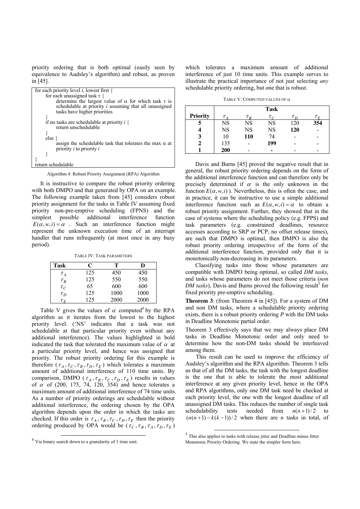priority ordering that is both optimal (easily seen by equivalence to Audsley's algorithm) and robust, as proven in [45].

| for each priority level i, lowest first $\{$                                                                                                                      |
|-------------------------------------------------------------------------------------------------------------------------------------------------------------------|
| for each unassigned task $\tau$ {                                                                                                                                 |
| determine the largest value of $\alpha$ for which task $\tau$ is<br>schedulable at priority <i>i</i> assuming that all unassigned<br>tasks have higher priorities |
|                                                                                                                                                                   |
| if no tasks are schedulable at priority $i \nvert$                                                                                                                |
| return unschedulable                                                                                                                                              |
|                                                                                                                                                                   |
| else $\{$                                                                                                                                                         |
| assign the schedulable task that tolerates the max $\alpha$ at<br>priority $i$ to priority $i$                                                                    |
|                                                                                                                                                                   |
|                                                                                                                                                                   |
| return schedulable                                                                                                                                                |

Algorithm 4: Robust Priority Assignment (RPA) Algorithm

It is instructive to compare the robust priority ordering with both DMPO and that generated by OPA on an example. The following example taken from [45] considers robust priority assignment for the tasks in Table IV assuming fixed priority non-pre-emptive scheduling (FPNS) and the simplest possible additional interference function  $E(\alpha, w, i) = \alpha$ . Such an interference function might represent the unknown execution time of an interrupt handler that runs infrequently (at most once in any busy period).

TABLE IV: TASK PARAMETERS

| Task                             | C   | т    | D    |
|----------------------------------|-----|------|------|
| $\tau_{\scriptscriptstyle{A}}$   | 125 | 450  | 450  |
| $\tau_{B}$                       | 125 | 550  | 550  |
| $\tau_{C}$                       | 65  | 600  | 600  |
| $\tau_D$                         | 125 | 1000 | 1000 |
| ${\tau}_{\scriptscriptstyle{E}}$ | 125 | 2000 | 2000 |

Table V gives the values of  $\alpha$  computed<sup>4</sup> by the RPA algorithm as it iterates from the lowest to the highest priority level. ('NS' indicates that a task was not schedulable at that particular priority even without any additional interference). The values highlighted in bold indicated the task that tolerated the maximum value of  $\alpha$  at a particular priority level, and hence was assigned that priority. The robust priority ordering for this example is therefore  $(\tau_A, \tau_C, \tau_B, \tau_D, \tau_E)$  which tolerates a maximum amount of additional interference of 110 time units. By comparison, DMPO ( $\tau_A$ ,  $\tau_B$ ,  $\tau_C$ ,  $\tau_D$ ,  $\tau_E$ ) results in values of  $\alpha$  of (200, 175, 74, 120, 354) and hence tolerates a maximum amount of additional interference of 74 time units. As a number of priority orderings are schedulable without additional interference, the ordering chosen by the OPA algorithm depends upon the order in which the tasks are checked. If this order is  $\tau_A$ ,  $\tau_B$ ,  $\tau_C$ ,  $\tau_D$ ,  $\tau_E$  then the priority ordering produced by OPA would be  $(\tau_C, \tau_B, \tau_A, \tau_D, \tau_E)$  which tolerates a maximum amount of additional interference of just 10 time units. This example serves to illustrate the practical importance of not just selecting *any* schedulable priority ordering, but one that is robust.

TABLE V: COMPUTED VALUES OF  $\alpha$ 

|                 |     |                                  | <b>Task</b>                       |              |                                  |
|-----------------|-----|----------------------------------|-----------------------------------|--------------|----------------------------------|
| <b>Priority</b> |     | ${\tau}_{\scriptscriptstyle{R}}$ | $\tau_{\rm \scriptscriptstyle C}$ | $\tau_{\,n}$ | ${\tau}_{\scriptscriptstyle{F}}$ |
|                 | NS  | NS                               | NS                                | 120          | 354                              |
|                 | NS  | NS                               | NS                                | 120          |                                  |
| 3               | 10  | 110                              | 74                                |              |                                  |
| 2               | 135 |                                  | 199                               |              |                                  |
|                 | 200 |                                  |                                   |              |                                  |

Davis and Burns [45] proved the negative result that in general, the robust priority ordering depends on the form of the additional interference function and can therefore only be precisely determined if  $\alpha$  is the only unknown in the function  $E(\alpha, w, i)$ ). Nevertheless, this is often the case, and in practice, it can be instructive to use a simple additional interference function such as  $E(\alpha, w, i) = \alpha$  to obtain a robust priority assignment. Further, they showed that in the case of systems where the scheduling policy (e.g. FPPS) and task parameters (e.g. constrained deadlines, resource accesses according to SRP or PCP, no offset release times), are such that DMPO is optimal, then DMPO is also the robust priority ordering irrespective of the form of the additional interference function, provided only that it is monotonically non-decreasing in its parameters.

Classifying tasks into those whose parameters are compatible with DMPO being optimal, so called *DM tasks*, and tasks whose parameters do not meet those criteria (*non*  DM tasks), Davis and Burns proved the following result<sup>5</sup> for fixed priority pre-emptive scheduling.

**Theorem 3**: (from Theorem 4 in [45]). For a system of DM and non DM tasks, where a schedulable priority ordering exists, there is a robust priority ordering *P* with the DM tasks in Deadline Monotonic partial order.

Theorem 3 effectively says that we may always place DM tasks in Deadline Monotonic order and only need to determine how the non-DM tasks should be interleaved among them.

This result can be used to improve the efficiency of Audsley's algorithm and the RPA algorithm. Theorem 3 tells us that of all the DM tasks, the task with the longest deadline is the one that is able to tolerate the most additional interference at any given priority level, hence in the OPA and RPA algorithms, only one DM task need be checked at each priority level, the one with the longest deadline of all unassigned DM tasks. This reduces the number of single task schedulability tests needed from  $n(n+1)/2$  to  $(n(n+1) - k(k-1))/2$  when there are *n* tasks in total, of

 $\overline{a}$ 

 4 Via binary search down to a granularity of 1 time unit.

 $<sup>5</sup>$  This also applies to tasks with release jitter and Deadline minus Jitter</sup> Monotonic Priority Ordering. We state the simpler form here.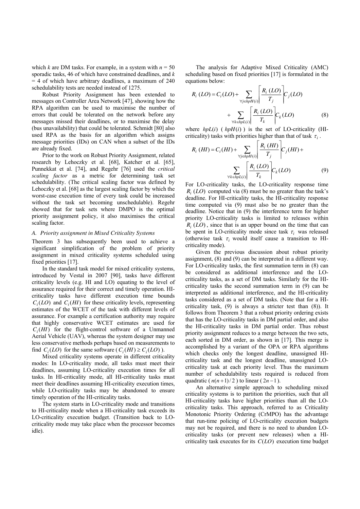which *k* are DM tasks. For example, in a system with  $n = 50$ sporadic tasks, 46 of which have constrained deadlines, and *k*  $=$  4 of which have arbitrary deadlines, a maximum of 240 schedulability tests are needed instead of 1275.

Robust Priority Assignment has been extended to messages on Controller Area Network [47], showing how the RPA algorithm can be used to maximise the number of errors that could be tolerated on the network before any messages missed their deadlines, or to maximise the delay (bus unavailability) that could be tolerated. Schmidt [80] also used RPA as the basis for an algorithm which assigns message priorities (IDs) on CAN when a subset of the IDs are already fixed.

Prior to the work on Robust Priority Assignment, related research by Lehoczky et al. [68], Katcher et al. [65], Punnekkat et al. [74], and Regehr [76] used the *critical scaling factor* as a metric for determining task set schedulability. (The critical scaling factor was defined by Lehoczky et al. [68] as the largest scaling factor by which the worst-case execution time of every task could be increased without the task set becoming unschedulable). Regehr showed that for task sets where DMPO is the optimal priority assignment policy, it also maximises the critical scaling factor.

#### *A. Priority assignment in Mixed Criticality Systems*

Theorem 3 has subsequently been used to achieve a significant simplification of the problem of priority assignment in mixed criticality systems scheduled using fixed priorities [17].

In the standard task model for mixed criticality systems, introduced by Vestal in 2007 [90], tasks have different criticality levels (e.g. HI and LO) equating to the level of assurance required for their correct and timely operation. HIcriticality tasks have different execution time bounds  $C_i(LO)$  and  $C_i(HI)$  for these criticality levels, representing estimates of the WCET of the task with different levels of assurance. For example a certification authority may require that highly conservative WCET estimates are used for  $C_i(HI)$  for the flight-control software of a Unmanned Aerial Vehicle (UAV), whereas the system designer may use less conservative methods perhaps based on measurements to find  $C_i(LO)$  for the same software ( $C_i(HI) \ge C_i(LO)$ ).

Mixed criticality systems operate in different criticality modes: In LO-criticality mode, all tasks must meet their deadlines, assuming LO-criticality execution times for all tasks. In HI-criticality mode, all HI-criticality tasks must meet their deadlines assuming HI-criticality execution times, while LO-criticality tasks may be abandoned to ensure timely operation of the HI-criticality tasks.

The system starts in LO-criticality mode and transitions to HI-criticality mode when a HI-criticality task exceeds its LO-criticality execution budget. (Transition back to LOcriticality mode may take place when the processor becomes idle).

The analysis for Adaptive Mixed Criticality (AMC) scheduling based on fixed priorities [17] is formulated in the equations below:

$$
R_i (LO) = C_i (LO) + \sum_{\forall j \in lppH(i)} \left[ \frac{R_i (LO)}{T_j} \right] C_j (LO)
$$
  
+ 
$$
\sum_{\forall k \in lppL(i)} \left[ \frac{R_i (LO)}{T_k} \right] C_k (LO)
$$
 (8)

where  $h p L(i)$  ( $h p H(i)$ ) is the set of LO-criticality (HIcriticality) tasks with priorities higher than that of task  $\tau_i$ .

$$
R_i (HI) = C_i (HI) + \sum_{\forall j \in lppH(i)} \left[ \frac{R_i (HI)}{T_j} \right] C_j (HI) +
$$

$$
\sum_{\forall k \in lppL(i)} \left[ \frac{R_i (LO)}{T_k} \right] C_k (LO) \tag{9}
$$

For LO-criticality tasks, the LO-criticality response time  $R_i$  (*LO*) computed via (8) must be no greater than the task's deadline. For HI-criticality tasks, the HI-criticality response time computed via (9) must also be no greater than the deadline. Notice that in (9) the interference term for higher priority LO-criticality tasks is limited to releases within  $R_i$  (*LO*), since that is an upper bound on the time that can be spent in LO-criticality mode since task  $\tau_i$  was released (otherwise task  $\tau_i$  would itself cause a transition to HIcriticality mode).

Given the previous discussion about robust priority assignment, (8) and (9) can be interpreted in a different way. For LO-criticality tasks, the first summation term in (8) can be considered as additional interference and the LOcriticality tasks, as a set of DM tasks. Similarly for the HIcriticality tasks the second summation term in (9) can be interpreted as additional interference, and the HI-criticality tasks considered as a set of DM tasks. (Note that for a HIcriticality task, (9) is always a stricter test than (8)). It follows from Theorem 3 that a robust priority ordering exists that has the LO-criticality tasks in DM partial order, and also the HI-criticality tasks in DM partial order. Thus robust priority assignment reduces to a merge between the two sets, each sorted in DM order, as shown in [17]. This merge is accomplished by a variant of the OPA or RPA algorithms which checks only the longest deadline, unassigned HIcriticality task and the longest deadline, unassigned LOcriticality task at each priority level. Thus the maximum number of schedulability tests required is reduced from quadratic ( $n(n+1)/2$ ) to linear ( $2n-1$ ).

An alternative simple approach to scheduling mixed criticality systems is to partition the priorities, such that all HI-criticality tasks have higher priorities than all the LOcriticality tasks. This approach, referred to as Criticality Monotonic Priority Ordering (CrMPO) has the advantage that run-time policing of LO-criticality execution budgets may not be required, and there is no need to abandon LOcriticality tasks (or prevent new releases) when a HIcriticality task executes for its *C*(*LO*) execution time budget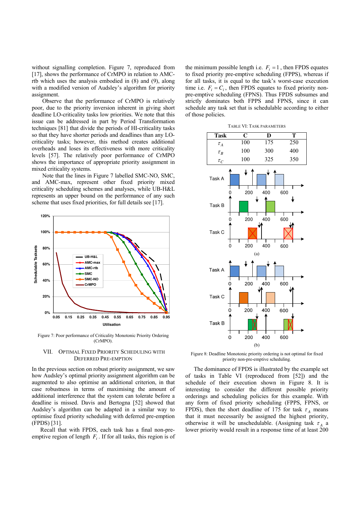without signalling completion. Figure 7, reproduced from [17], shows the performance of CrMPO in relation to AMCrtb which uses the analysis embodied in (8) and (9), along with a modified version of Audsley's algorithm for priority assignment.

Observe that the performance of CrMPO is relatively poor, due to the priority inversion inherent in giving short deadline LO-criticality tasks low priorities. We note that this issue can be addressed in part by Period Transformation techniques [81] that divide the periods of HI-criticality tasks so that they have shorter periods and deadlines than any LOcriticality tasks; however, this method creates additional overheads and loses its effectiveness with more criticality levels [57]. The relatively poor performance of CrMPO shows the importance of appropriate priority assignment in mixed criticality systems.

Note that the lines in Figure 7 labelled SMC-NO, SMC, and AMC-max, represent other fixed priority mixed criticality scheduling schemes and analyses, while UB-H&L represents an upper bound on the performance of any such scheme that uses fixed priorities, for full details see [17].



Figure 7: Poor performance of Criticality Monotonic Priority Ordering (CrMPO).

#### VII. OPTIMAL FIXED PRIORITY SCHEDULING WITH DEFERRED PRE-EMPTION

In the previous section on robust priority assignment, we saw how Audsley's optimal priority assignment algorithm can be augmented to also optimise an additional criterion, in that case robustness in terms of maximising the amount of additional interference that the system can tolerate before a deadline is missed. Davis and Bertogna [52] showed that Audsley's algorithm can be adapted in a similar way to optimise fixed priority scheduling with deferred pre-emption (FPDS) [31].

Recall that with FPDS, each task has a final non-preemptive region of length *F<sup>i</sup>* . If for all tasks, this region is of the minimum possible length i.e.  $F_i = 1$ , then FPDS equates to fixed priority pre-emptive scheduling (FPPS), whereas if for all tasks, it is equal to the task's worst-case execution time i.e.  $F_i = C_i$ , then FPDS equates to fixed priority nonpre-emptive scheduling (FPNS). Thus FPDS subsumes and strictly dominates both FPPS and FPNS, since it can schedule any task set that is schedulable according to either of those policies.





Figure 8: Deadline Monotonic priority ordering is not optimal for fixed priority non-pre-emptive scheduling.

The dominance of FPDS is illustrated by the example set of tasks in Table VI (reproduced from [52]) and the schedule of their execution shown in Figure 8. It is interesting to consider the different possible priority orderings and scheduling policies for this example. With any form of fixed priority scheduling (FPPS, FPNS, or FPDS), then the short deadline of 175 for task  $\tau_A$  means that it must necessarily be assigned the highest priority, otherwise it will be unschedulable. (Assigning task  $\tau_A$  a lower priority would result in a response time of at least 200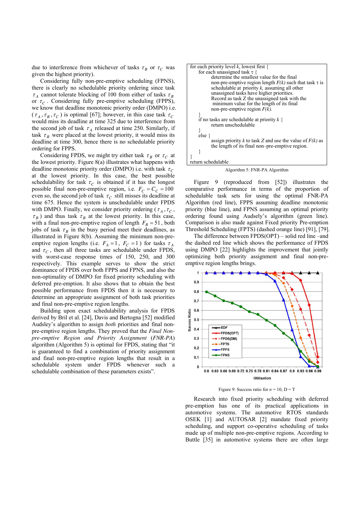due to interference from whichever of tasks  $\tau_B$  or  $\tau_C$  was given the highest priority).

Considering fully non-pre-emptive scheduling (FPNS), there is clearly no schedulable priority ordering since task  $\tau_A$  cannot tolerate blocking of 100 from either of tasks  $\tau_B$ or  $\tau_C$ . Considering fully pre-emptive scheduling (FPPS), we know that deadline monotonic priority order (DMPO) i.e.  $(\tau_A, \tau_B, \tau_C)$  is optimal [67]; however, in this case task  $\tau_C$ would miss its deadline at time 325 due to interference from the second job of task  $\tau_A$  released at time 250. Similarly, if task  $\tau_B$  were placed at the lowest priority, it would miss its deadline at time 300, hence there is no schedulable priority ordering for FPPS.

Considering FPDS, we might try either task  $\tau_B$  or  $\tau_C$  at the lowest priority. Figure 8(a) illustrates what happens with deadline monotonic priority order (DMPO) i.e. with task  $\tau_C$ at the lowest priority. In this case, the best possible schedulability for task  $\tau_C$  is obtained if it has the longest possible final non-pre-emptive region, i.e.  $F_C = C_C = 100$ even so, the second job of task  $\tau_C$  still misses its deadline at time 675. Hence the system is unschedulable under FPDS with DMPO. Finally, we consider priority ordering  $(\tau_A, \tau_C,$  $\tau_B$ ) and thus task  $\tau_B$  at the lowest priority. In this case, with a final non-pre-emptive region of length  $F_B = 51$ , both jobs of task  $\tau_B$  in the busy period meet their deadlines, as illustrated in Figure 8(b). Assuming the minimum non-preemptive region lengths (i.e.  $F_A = 1$ ,  $F_C = 1$ ) for tasks  $\tau_A$ and  $\tau_C$ , then all three tasks are schedulable under FPDS, with worst-case response times of 150, 250, and 300 respectively. This example serves to show the strict dominance of FPDS over both FPPS and FPNS, and also the non-optimality of DMPO for fixed priority scheduling with deferred pre-emption. It also shows that to obtain the best possible performance from FPDS then it is necessary to determine an appropriate assignment of both task priorities and final non-pre-emptive region lengths.

Building upon exact schedulability analysis for FPDS derived by Bril et al. [24], Davis and Bertogna [52] modified Audsley's algorithm to assign *both* priorities and final nonpre-emptive region lengths. They proved that the *Final Nonpre-emptive Region and Priority Assignment* (*FNR-PA*) algorithm (Algorithm 5) is optimal for FPDS, stating that "it is guaranteed to find a combination of priority assignment and final non-pre-emptive region lengths that result in a schedulable system under FPDS whenever such a schedulable combination of these parameters exists".



Algorithm 5: FNR-PA Algorithm

Figure 9 (reproduced from [52]) illustrates the comparative performance in terms of the proportion of schedulable task sets for using the optimal FNR-PA Algorithm (red line), FPPS assuming deadline monotonic priority (blue line), and FPNS assuming an optimal priority ordering found using Audsely's algorithm (green line). Comparison is also made against Fixed priority Pre-emption Threshold Scheduling (FPTS) (dashed orange line) [91], [79].

The difference between FPDS(OPT) – solid red line –and the dashed red line which shows the performance of FPDS using DMPO [22] highlights the improvement that jointly optimizing both priority assignment and final non-preemptive region lengths brings.



Figure 9: Success ratio for  $n = 10$ ,  $D = T$ 

Research into fixed priority scheduling with deferred pre-emption has one of its practical applications in automotive systems. The automotive RTOS standards OSEK [1] and AUTOSAR [2] mandate fixed priority scheduling, and support co-operative scheduling of tasks made up of multiple non-pre-emptive regions. According to Buttle [35] in automotive systems there are often large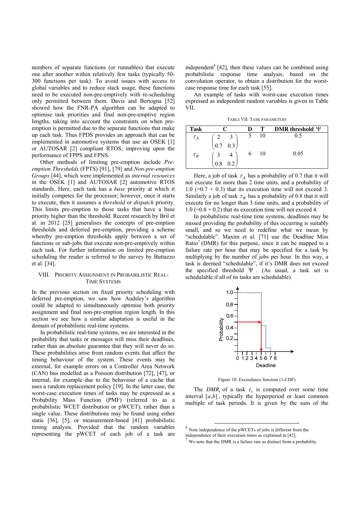numbers of separate functions (or runnables) that execute one after another within relatively few tasks (typically 50- 300 functions per task). To avoid issues with access to global variables and to reduce stack usage, these functions need to be executed non-pre-emptively with re-scheduling only permitted between them. Davis and Bertogna [52] showed how the FNR-PA algorithm can be adapted to optimise task priorities and final non-pre-emptive region lengths, taking into account the constraints on when preemption is permitted due to the separate functions that make up each task. Thus FPDS provides an approach that can be implemented in automotive systems that use an OSEK [1] or AUTOSAR [2] compliant RTOS, improving upon the performance of FPPS and FPNS.

Other methods of limiting pre-emption include *Preemption Thresholds* (FPTS) [91], [79] and *Non-pre-emption Groups* [44], which were implemented as *internal resources* in the OSEK [1] and AUTOSAR [2] automotive RTOS standards. Here, each task has a *base* priority at which it initially competes for the processor; however, once it starts to execute, then it assumes a *threshold* or *dispatch* priority. This limits pre-emption to those tasks that have a base priority higher than the threshold. Recent research by Bril et al. in 2012 [25] generalises the concepts of pre-emption thresholds and deferred pre-emption, providing a scheme whereby pre-emption thresholds apply between a set of functions or sub-jobs that execute non-pre-emptively within each task. For further information on limited pre-emption scheduling the reader is referred to the survey by Buttazzo et al. [34].

# VIII. PRIORITY ASSIGNMENT IN PROBABILISTIC REAL-TIME SYSTEMS

In the previous section on fixed priority scheduling with deferred pre-emption, we saw how Audsley's algorithm could be adapted to simultaneously optimise both priority assignment and final non-pre-emption region length. In this section we see how a similar adaptation is useful in the domain of probabilistic real-time systems.

In probabilistic real-time systems, we are interested in the probability that tasks or messages will miss their deadlines, rather than an absolute guarantee that they will never do so. These probabilities arise from random events that affect the timing behaviour of the system. These events may be external, for example errors on a Controller Area Network (CAN) bus modelled as a Poisson distribution [72], [47], or internal, for example due to the behaviour of a cache that uses a random replacement policy [19]. In the latter case, the worst-case execution times of tasks may be expressed as a Probability Mass Function (PMF) (referred to as a probabilistic WCET distribution or pWCET), rather than a single value. These distributions may be found using either static [36], [5], or measurement-based [41] probabilistic timing analysis. Provided that the random variables representing the pWCET of each job of a task are

independent<sup>6</sup> [42], then these values can be combined using probabilistic response time analysis, based on the convolution operator, to obtain a distribution for the worstcase response time for each task [55].

An example of tasks with worst-case execution times expressed as independent random variables is given in Table VII.

TABLE VII: TASK PARAMETERS

| <b>Task</b> |            | т  | DMR threshold $\Psi$ |
|-------------|------------|----|----------------------|
| $\tau_{A}$  | ◠          | 10 |                      |
|             | 0.7<br>0.3 |    |                      |
| $\tau_B^{}$ |            | 10 | 0.05                 |
|             | 0.8<br>0.2 |    |                      |

Here, a job of task  $\tau_A$  has a probability of 0.7 that it will not execute for more than 2 time units, and a probability of 1.0 (= $0.7 + 0.3$ ) that its execution time will not exceed 3. Similarly a job of task  $\tau_B$  has a probability of 0.8 that it will execute for no longer than 3 time units, and a probability of  $1.0$  (=0.8 + 0.2) that its execution time will not exceed 4.

In probabilistic real-time time systems, deadlines may be missed providing the probability of this occurring is suitably small, and so we need to redefine what we mean by "schedulable". Maxim et al. [71] use the Deadline Miss Ratio<sup>7</sup> (DMR) for this purpose, since it can be mapped to a failure rate per hour that may be specified for a task by multiplying by the number of jobs per hour. In this way, a task is deemed "schedulable", if it's DMR does not exceed the specified threshold  $\Psi'$ . (As usual, a task set is schedulable if all of its tasks are schedulable).



Figure 10: Exceedance function (1-CDF)

The  $DMR_i$  of a task  $\tau_i$  is computed over some time interval  $[a,b]$ , typically the hyperperiod or least common multiple of task periods. It is given by the sum of the

 $\overline{a}$ 

 $<sup>6</sup>$  Note independence of the pWCETs of jobs is different from the</sup>

independence of their execution times as explained in [42].

We note that the DMR is a failure rate as distinct from a probability.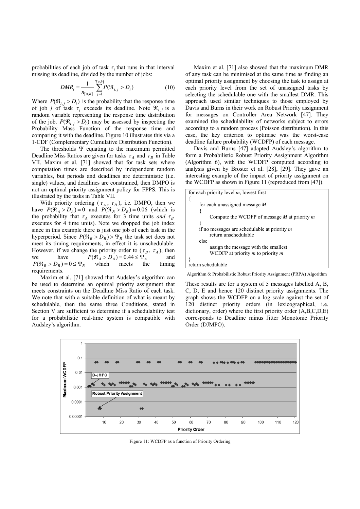probabilities of each job of task  $\tau$ <sub>i</sub> that runs in that interval missing its deadline, divided by the number of jobs:

$$
DMR_i = \frac{1}{n_{[a,b]}} \sum_{j=1}^{n_{[a,b]}} P(\mathfrak{R}_{i,j} > D_i)
$$
 (10)

Where  $P(\mathfrak{R}_{i,j} > D_i)$  is the probability that the response time of job *j* of task  $\tau_i$  exceeds its deadline. Note  $\Re_{i,j}$  is a random variable representing the response time distribution of the job.  $P(\Re_{i,j} > D_i)$  may be assessed by inspecting the Probability Mass Function of the response time and comparing it with the deadline. Figure 10 illustrates this via a 1-CDF (Complementary Cumulative Distribution Function).

The thresholds  $\Psi$  equating to the maximum permitted Deadline Miss Ratios are given for tasks  $\tau_A$  and  $\tau_B$  in Table VII. Maxim et al. [71] showed that for task sets where computation times are described by independent random variables, but periods and deadlines are deterministic (i.e. single) values, and deadlines are constrained, then DMPO is not an optimal priority assignment policy for FPPS. This is illustrated by the tasks in Table VII.

With priority ordering ( $\tau_A$ ,  $\tau_B$ ), i.e. DMPO, then we have  $P(\Re A > D_A) = 0$  and  $P(\Re B > D_B) = 0.06$  (which is the probability that  $\tau_A$  executes for 3 time units *and*  $\tau_B$ executes for 4 time units). Note we dropped the job index since in this example there is just one job of each task in the hyperperiod. Since  $P(\Re_B > D_B) > \Psi_B$  the task set does not meet its timing requirements, in effect it is unschedulable. However, if we change the priority order to  $(\tau_B, \tau_A)$ , then we have  $P(\mathfrak{R}_A > D_A) = 0.44 \leq \Psi_A$  and  $P(\Re_B > D_B) = 0 \le \Psi_B$  which meets the timing requirements.

Maxim et al. [71] showed that Audsley's algorithm can be used to determine an optimal priority assignment that meets constraints on the Deadline Miss Ratio of each task. We note that with a suitable definition of what is meant by schedulable, then the same three Conditions, stated in Section V are sufficient to determine if a schedulability test for a probabilistic real-time system is compatible with Audsley's algorithm.

Maxim et al. [71] also showed that the maximum DMR of any task can be minimised at the same time as finding an optimal priority assignment by choosing the task to assign at each priority level from the set of unassigned tasks by selecting the schedulable one with the smallest DMR. This approach used similar techniques to those employed by Davis and Burns in their work on Robust Priority assignment for messages on Controller Area Network [47]. They examined the schedulability of networks subject to errors according to a random process (Poisson distribution). In this case, the key criterion to optimise was the worst-case deadline failure probability (WCDFP) of each message.

Davis and Burns [47] adapted Audsley's algorithm to form a Probabilistic Robust Priority Assignment Algorithm (Algorithm 6), with the WCDFP computed according to analysis given by Broster et al. [28], [29]. They gave an interesting example of the impact of priority assignment on the WCDFP as shown in Figure 11 (reproduced from [47]).

| for each priority level $m$ , lowest first       |  |  |  |
|--------------------------------------------------|--|--|--|
|                                                  |  |  |  |
| for each unassigned message $M$                  |  |  |  |
|                                                  |  |  |  |
| Compute the WCDFP of message $M$ at priority $m$ |  |  |  |
|                                                  |  |  |  |
| if no messages are schedulable at priority $m$   |  |  |  |
| return unschedulable                             |  |  |  |
| else                                             |  |  |  |
| assign the message with the smallest             |  |  |  |
| WCDFP at priority $m$ to priority $m$            |  |  |  |
|                                                  |  |  |  |
| return schedulable                               |  |  |  |

Algorithm 6: Probabilistic Robust Priority Assignment (PRPA) Algorithm

These results are for a system of 5 messages labelled A, B, C, D, E and hence 120 distinct priority assignments. The graph shows the WCDFP on a log scale against the set of 120 distinct priority orders (in lexicographical, i.e. dictionary, order) where the first priority order (A,B,C,D,E) corresponds to Deadline minus Jitter Monotonic Priority Order (DJMPO).



Figure 11: WCDFP as a function of Priority Ordering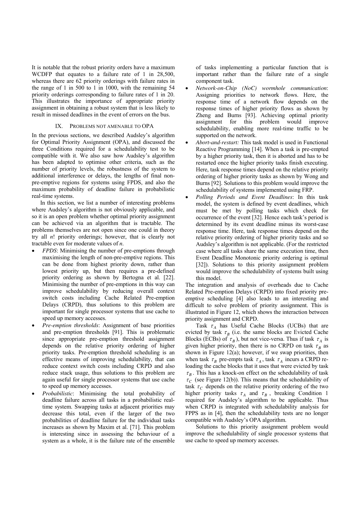It is notable that the robust priority orders have a maximum WCDFP that equates to a failure rate of 1 in 28,500, whereas there are 62 priority orderings with failure rates in the range of 1 in 500 to 1 in 1000, with the remaining 54 priority orderings corresponding to failure rates of 1 in 20. This illustrates the importance of appropriate priority assignment in obtaining a robust system that is less likely to result in missed deadlines in the event of errors on the bus.

### IX. PROBLEMS NOT AMENABLE TO OPA

In the previous sections, we described Audsley's algorithm for Optimal Priority Assignment (OPA), and discussed the three Conditions required for a schedulability test to be compatible with it. We also saw how Audsley's algorithm has been adapted to optimise other criteria, such as the number of priority levels, the robustness of the system to additional interference or delays, the lengths of final nonpre-emptive regions for systems using FPDS, and also the maximum probability of deadline failure in probabilistic real-time systems.

In this section, we list a number of interesting problems where Audsley's algorithm is not obviously applicable, and so it is an open problem whether optimal priority assignment can be achieved via an algorithm that is tractable. The problems themselves are not open since one could in theory try all *n*! priority orderings; however, that is clearly not tractable even for moderate values of *n*.

- *FPDS*: Minimising the number of pre-emptions through maximising the length of non-pre-emptive regions. This can be done from highest priority down, rather than lowest priority up, but then requires a pre-defined priority ordering as shown by Bertogna et al. [22]. Minimising the number of pre-emptions in this way can improve schedulability by reducing overall context switch costs including Cache Related Pre-emption Delays (CRPD), thus solutions to this problem are important for single processor systems that use cache to speed up memory accesses.
- *Pre-emption thresholds*: Assignment of base priorities and pre-emption thresholds [91]. This is problematic since appropriate pre-emption threshold assignment depends on the relative priority ordering of higher priority tasks. Pre-emption threshold scheduling is an effective means of improving schedulability, that can reduce context switch costs including CRPD and also reduce stack usage, thus solutions to this problem are again useful for single processor systems that use cache to speed up memory accesses.
- *Probabilistic*: Minimising the total probability of deadline failure across all tasks in a probabilistic realtime system. Swapping tasks at adjacent priorities may decrease this total, even if the larger of the two probabilities of deadline failure for the individual tasks increases as shown by Maxim et al. [71]. This problem is interesting since in assessing the behaviour of a system as a whole, it is the failure rate of the ensemble

of tasks implementing a particular function that is important rather than the failure rate of a single component task.

- *Network-on-Chip (NoC) wormhole communication*: Assigning priorities to network flows. Here, the response time of a network flow depends on the response times of higher priority flows as shown by Zheng and Burns [93]. Achieving optimal priority assignment for this problem would improve schedulability, enabling more real-time traffic to be supported on the network.
- *Abort*-*and-restart:* This task model is used in Functional Reactive Programming [14]. When a task is pre-empted by a higher priority task, then it is aborted and has to be restarted once the higher priority tasks finish executing. Here, task response times depend on the relative priority ordering of higher priority tasks as shown by Wong and Burns [92]. Solutions to this problem would improve the schedulability of systems implemented using FRP.
- *Polling Periods and Event Deadlines*: In this task model, the system is defined by event deadlines, which must be met by polling tasks which check for occurrence of the event [32]. Hence each task's period is determined by its event deadline minus its worst-case response time. Here, task response times depend on the relative priority ordering of higher priority tasks and so Audsley's algorithm is not applicable. (For the restricted case where all tasks share the same execution time, then Event Deadline Monotonic priority ordering is optimal [32]). Solutions to this priority assignment problem would improve the schedulability of systems built using this model.

The integration and analysis of overheads due to Cache Related Pre-emption Delays (CRPD) into fixed priority preemptive scheduling [4] also leads to an interesting and difficult to solve problem of priority assignment. This is illustrated in Figure 12, which shows the interaction between priority assignment and CRPD.

Task  $\tau_A$  has Useful Cache Blocks (UCBs) that are evicted by task  $\tau_B$  (i.e. the same blocks are Evicted Cache Blocks (ECBs) of  $\tau_B$ ), but not vice-versa. Thus if task  $\tau_A$  is given higher priority, then there is no CRPD on task  $\tau_B$  as shown in Figure  $12(a)$ ; however, if we swap priorities, then when task  $\tau_B$  pre-empts task  $\tau_A$ , task  $\tau_A$  incurs a CRPD reloading the cache blocks that it uses that were evicted by task  $\tau_B$ . This has a knock-on effect on the schedulability of task  $\tau_C$  (see Figure 12(b)). This means that the schedulability of task  $\tau_C$  depends on the relative priority ordering of the two higher priority tasks  $\tau_A$  and  $\tau_B$ , breaking Condition 1 required for Audsley's algorithm to be applicable. Thus when CRPD is integrated with schedulability analysis for FPPS as in [4], then the schedulability tests are no longer compatible with Audsley's OPA algorithm.

Solutions to this priority assignment problem would improve the schedulability of single processor systems that use cache to speed up memory accesses.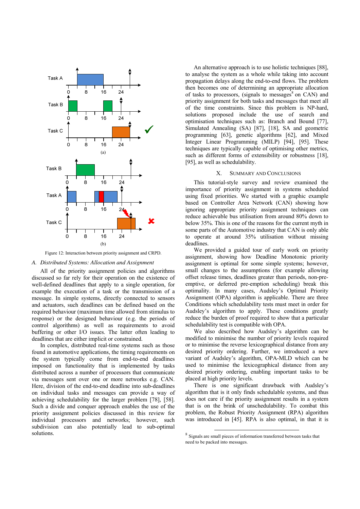

Figure 12: Interaction between priority assignment and CRPD.

# *A. Distributed Systems: Allocation and Assignment*

All of the priority assignment policies and algorithms discussed so far rely for their operation on the existence of well-defined deadlines that apply to a single operation, for example the execution of a task or the transmission of a message. In simple systems, directly connected to sensors and actuators, such deadlines can be defined based on the required behaviour (maximum time allowed from stimulus to response) or the designed behaviour (e.g. the periods of control algorithms) as well as requirements to avoid buffering or other I/O issues. The latter often leading to deadlines that are either implicit or constrained.

In complex, distributed real-time systems such as those found in automotive applications, the timing requirements on the system typically come from end-to-end deadlines imposed on functionality that is implemented by tasks distributed across a number of processors that communicate via messages sent over one or more networks e.g. CAN. Here, division of the end-to-end deadline into sub-deadlines on individual tasks and messages can provide a way of achieving schedulability for the larger problem [78], [58]. Such a divide and conquer approach enables the use of the priority assignment policies discussed in this review for individual processors and networks; however, such subdivision can also potentially lead to sub-optimal solutions.

An alternative approach is to use holistic techniques [88], to analyse the system as a whole while taking into account propagation delays along the end-to-end flows. The problem then becomes one of determining an appropriate allocation of tasks to processors, (signals to messages<sup>8</sup> on CAN) and priority assignment for both tasks and messages that meet all of the time constraints. Since this problem is NP-hard, solutions proposed include the use of search and optimisation techniques such as: Branch and Bound [77], Simulated Annealing (SA) [87], [18], SA and geometric programming [63], genetic algorithms [62], and Mixed Integer Linear Programming (MILP) [94], [95]. These techniques are typically capable of optimising other metrics, such as different forms of extensibility or robustness [18], [95], as well as schedulability.

# X. SUMMARY AND CONCLUSIONS

This tutorial-style survey and review examined the importance of priority assignment in systems scheduled using fixed priorities. We started with a graphic example based on Controller Area Network (CAN) showing how ignoring appropriate priority assignment techniques can reduce achievable bus utilisation from around 80% down to below 35%. This is one of the reasons for the current myth in some parts of the Automotive industry that CAN is only able to operate at around 35% utilisation without missing deadlines.

We provided a guided tour of early work on priority assignment, showing how Deadline Monotonic priority assignment is optimal for some simple systems; however, small changes to the assumptions (for example allowing offset release times, deadlines greater than periods, non-preemptive, or deferred pre-emption scheduling) break this optimality. In many cases, Audsley's Optimal Priority Assignment (OPA) algorithm is applicable. There are three Conditions which schedulability tests must meet in order for Audsley's algorithm to apply. These conditions greatly reduce the burden of proof required to show that a particular schedulability test is compatible with OPA.

We also described how Audsley's algorithm can be modified to minimise the number of priority levels required or to minimise the reverse lexicographical distance from any desired priority ordering. Further, we introduced a new variant of Audsley's algorithm, OPA-MLD which can be used to minimise the lexicographical distance from any desired priority ordering, enabling important tasks to be placed at high priority levels.

There is one significant drawback with Audsley's algorithm that is it only finds schedulable systems, and thus does not care if the priority assignment results in a system that is on the brink of unschedulability. To combat this problem, the Robust Priority Assignment (RPA) algorithm was introduced in [45]. RPA is also optimal, in that it is

 $\overline{a}$ 

<sup>&</sup>lt;sup>8</sup> Signals are small pieces of information transferred between tasks that need to be packed into messages.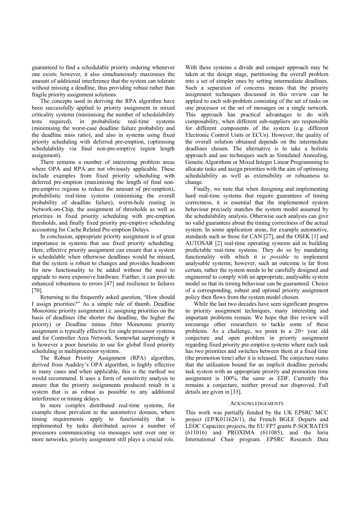guaranteed to find a schedulable priority ordering whenever one exists; however, it also simultaneously maximises the amount of additional interference that the system can tolerate without missing a deadline, thus providing robust rather than fragile priority assignment solutions.

The concepts used in deriving the RPA algorithm have been successfully applied to priority assignment in mixed criticality systems (minimising the number of schedulability tests required), in probabilistic real-time systems (minimising the worst-case deadline failure probability and the deadline miss ratio), and also in systems using fixed priority scheduling with deferred pre-emption, (optimising schedulability via final non-pre-emptive region length assignment).

There remains a number of interesting problem areas where OPA and RPA are not obviously applicable. These include examples from fixed priority scheduling with deferred pre-emption (maximising the length of final nonpre-emptive regions to reduce the amount of pre-emption), probabilistic real-time systems (minimising the overall probability of deadline failure), worm-hole routing in Network-on-Chip, the assignment of thresholds as well as priorities in fixed priority scheduling with pre-emption thresholds, and finally fixed priority pre-emptive scheduling accounting for Cache Related Pre-emption Delays.

In conclusion, appropriate priority assignment is of great importance in systems that use fixed priority scheduling. Here, effective priority assignment can ensure that a system is schedulable when otherwise deadlines would be missed, that the system is robust to changes and provides headroom for new functionality to be added without the need to upgrade to more expensive hardware. Further, it can provide enhanced robustness to errors [47] and resilience to failures [70].

Returning to the frequently asked question, "How should I assign priorities?" As a simple rule of thumb, Deadline Monotonic priority assignment i.e. assigning priorities on the basis of deadlines (the shorter the deadline, the higher the priority) or Deadline minus Jitter Monotonic priority assignment is typically effective for single processor systems and for Controller Area Network. Somewhat surprisingly it is however a poor heuristic to use for global fixed priority scheduling in multiprocessor systems.

The Robust Priority Assignment (RPA) algorithm, derived from Audsley's OPA algorithm, is highly effective in many cases and when applicable, this is the method we would recommend. It uses a form of sensitivity analysis to ensure that the priority assignments produced result in a system that is as robust as possible to any additional interference or timing delays.

In more complex distributed real-time systems, for example those prevalent in the automotive domain, where timing requirements apply to functionality that is implemented by tasks distributed across a number of processors communicating via messages sent over one or more networks, priority assignment still plays a crucial role.

With these systems a divide and conquer approach may be taken at the design stage, partitioning the overall problem into a set of simpler ones by setting intermediate deadlines. Such a separation of concerns means that the priority assignment techniques discussed in this review can be applied to each sub-problem consisting of the set of tasks on one processor or the set of messages on a single network. This approach has practical advantages to do with composability, when different sub-suppliers are responsible for different components of the system (e.g. different Electronic Control Units or ECUs). However, the quality of the overall solution obtained depends on the intermediate deadlines chosen. The alternative is to take a holistic approach and use techniques such as Simulated Annealing, Genetic Algorithms or Mixed Integer Linear Programming to allocate tasks and assign priorities with the aim of optimising schedulability as well as extensibility or robustness to change.

Finally, we note that when designing and implementing hard real-time systems that require guarantees of timing correctness, it is essential that the implemented system behaviour precisely matches the system model assumed by the schedulability analysis. Otherwise such analysis can give no valid guarantees about the timing correctness of the actual system. In some application areas, for example automotive, standards such as those for CAN [27], and the OSEK [1] and AUTOSAR [2] real-time operating systems aid in building predictable real-time systems. They do so by mandating functionality with which it is *possible* to implement analysable systems; however, such an outcome is far from certain, rather the system needs to be carefully designed and engineered to comply with an appropriate, analysable system model so that its timing behaviour can be guaranteed. Choice of a corresponding, robust and optimal priority assignment policy then flows from the system model chosen.

While the last two decades have seen significant progress in priority assignment techniques, many interesting and important problems remain. We hope that this review will encourage other researchers to tackle some of these problems. As a challenge, we point to a 20+ year old conjecture and open problem in priority assignment regarding fixed priority pre-emptive systems where each task has two priorities and switches between them at a fixed time (the promotion time) after it is released. The conjecture states that the utilisation bound for an implicit deadline periodic task system with an appropriate priority and promotion time assignment is 100%, the same as EDF. Currently this remains a conjecture, neither proved nor disproved. Full details are given in [33].

# **ACKNOWLEDGEMENTS**

This work was partially funded by the UK EPSRC MCC project (EP/K011626/1), the French BGLE Departs and LEOC Capacites projects, the EU FP7 grants P-SOCRATES (611016) and PROXIMA (611085), and the Inria International Chair program. EPSRC Research Data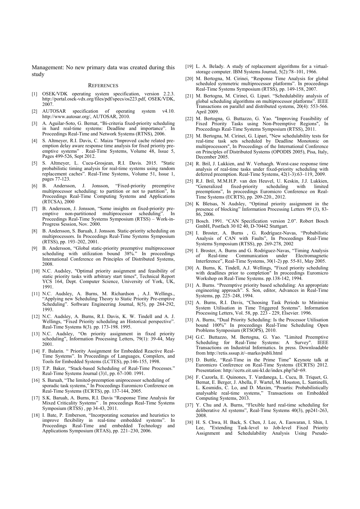Management: No new primary data was created during this study

#### **REFERENCES**

- [1] OSEK/VDK operating system specification, version 2.2.3. http://portal.osek-vdx.org/files/pdf/specs/os223.pdf, OSEK/VDK, 2007.
- [2] AUTOSAR specification of operating system v4.10. http://www.autosar.org/, AUTOSAR, 2010.
- [3] A. Aguilar-Soto, G. Bernat, "Bi-criteria fixed-priority scheduling in hard real-time systems: Deadline and importance". In Proceedings Real-Time and Network Systems (RTNS), 2006.
- [4] S. Altmeyer, R.I. Davis, C. Maiza "Improved cache related preemption delay aware response time analysis for fixed priority preemptive systems" . Real-Time Systems, Volume 48, Issue 5, Pages 499-526, Sept 2012.
- [5] S. Altmeyer, L. Cucu-Grosjean, R.I. Davis. 2015. "Static probabilistic timing analysis for real-time systems using random replacement caches". Real-Time Systems, Volume 51, Issue 1, pages 77-123.
- [6] B. Andersson, J. Jonsson, "Fixed-priority preemptive multiprocessor scheduling: to partition or not to partition", In Proceedings Real-Time Computing Systems and Applications (RTCSA), 2000
- [7] B. Andersson, J. Jonsson, "Some insights on fixed-priority preemptive non-partitioned multiprocessor scheduling". In Proceedings Real-Time Systems Symposium (RTSS) – Work-in-Progress Session, Nov. 2000.
- [8] B. Andersson, S. Baruah, J. Jonsson. Static-priority scheduling on multiprocessors. In Proceedings Real-Time Systems Symposium (RTSS), pp. 193–202, 2001.
- [9] B. Andersson, "Global static-priority preemptive multiprocessor scheduling with utilization bound 38%." In proceedings International Conference on Principles of Distributed Systems, 2008.
- [10] N.C. Audsley, "Optimal priority assignment and feasibility of static priority tasks with arbitrary start times", Technical Report YCS 164, Dept. Computer Science, University of York, UK, 1991.
- [11] N.C. Audsley, A. Burns, M. Richardson , A.J. Wellings., "Applying new Scheduling Theory to Static Priority Pre-emptive Scheduling". Software Engineering Journal, 8(5), pp 284-292, 1993.
- [12] N.C. Audsley, A. Burns, R.I. Davis, K. W. Tindell and A. J. Wellings, "Fixed Priority scheduling an Historical perspective". Real-Time Systems 8(3). pp. 173-198. 1995.
- [13] N.C. Audsley, "On priority assignment in fixed priority scheduling", Information Processing Letters, 79(1): 39-44, May 2001.
- [14] F. Balarin. " Priority Assignment for Embedded Reactive Real-Time Systems". In Proceedings of Languages, Compilers, and Tools for Embedded Systems (LCTES), pp.146-155, 1998.
- [15] T.P. Baker, "Stack-based Scheduling of Real-Time Processes." Real-Time Systems Journal (3)1, pp. 67-100. 1991.
- [16] S. Baruah, "The limited-preemption uniprocessor scheduling of sporadic task systems," In Proceedings Euromicro Conference on Real-Time Systems (ECRTS), pp. 137-144, 2005.
- [17] S.K. Baruah, A. Burns, R.I. Davis "Response Time Analysis for Mixed Criticality Systems" . In proceedings Real-Time Systems Symposium (RTSS) , pp 34-43, 2011.
- [18] I. Bate, P. Emberson, "Incorporating scenarios and heuristics to improve flexibility in real-time embedded systems". In Proceedings Real-Time and embedded Technology and Applications Symposium (RTAS), pp. 221–230, 2006.
- [19] L. A. Belady. A study of replacement algorithms for a virtualstorage computer. IBM Systems Journal, 5(2):78–101, 1966.
- [20] M. Bertogna, M. Cirinei, "Response Time Analysis for global scheduled symmetric multiprocessor platforms". In proceedings Real-Time Systems Symposium (RTSS), pp. 149-158, 2007.
- [21] M. Bertogna, M. Cirinei, G. Lipari. "Schedulability analysis of global scheduling algorithms on multiprocessor platforms". IEEE Transactions on parallel and distributed systems, 20(4): 553-566. April 2009.
- [22] M. Bertogna, G. Buttazzo, G. Yao. "Improving Feasibility of Fixed Priority Tasks using Non-Preemptive Regions", In Proceedings Real-Time Systems Symposium (RTSS), 2011.
- [23] M. Bertogna, M. Cirinei, G. Lipari, "New schedulability tests for real-time task sets scheduled by Deadline Monotonic on multiprocessors", In Proceedings of the International Conference on Principles of Distributed Systems (OPODIS 2005), Pisa, Italy, December 2005.
- [24] R. Bril, J. Lukkien, and W. Verhaegh. Worst-case response time analysis of real-time tasks under fixed-priority scheduling with deferred preemption. Real-Time Systems, 42(1-3):63–119, 2009.
- [25] R.J. Bril, M.M.H.P. van den Heuvel, U. Keskin, J.J. Lukkien, "Generalized fixed-priority scheduling with limited preemptions", In proceedings Euromicro Conference on Real-Time Systems (ECRTS), pp. 209-220., 2012.
- [26] K Bletsas, N Audsley, "Optimal priority assignment in the presence of blocking" Information Processing Letters 99 (3), 83- 86, 2006.
- [27] Bosch. 1991. "CAN Specification version 2.0". Robert Bosch GmbH, Postfach 30 02 40, D-70442 Stuttgart.
- [28] I. Broster, A. Burns , G. Rodríguez-Navas, "Probabilistic Analysis of CAN with Faults", In Proceedings Real-Time Systems Symposium (RTSS), pp. 269-278, 2002
- [29] I. Broster, A. Burns and G. Rodriguez-Navas, "Timing Analysis of Real-time Communication under Interference", Real-Time Systems, 30(1-2) pp. 55-81, May 2005.
- [30] A. Burns, K. Tindell, A.J. Wellings, "Fixed priority scheduling with deadlines prior to completion" In proceedings Euromicro Workshop on Real-Time Systems. pp.138-142, 1994.
- [31] A. Burns. "Preemptive priority based scheduling: An appropriate engineering approach". S. Son, editor, Advances in Real-Time Systems, pp. 225–248, 1994.
- [32] A. Burns, R.I. Davis, "Choosing Task Periods to Minimise System Utilisation in Time Triggered Systems". Information Processing Letters, Vol. 58, pp. 223 - 229, Elsevier. 1996.
- [33] A. Burns, "Dual Priority Scheduling: Is the Processor Utilisation bound 100%" In proceedings Real-Time Scheduling Open Problems Symposium (RTSOPS), 2010.
- [34] G.C. Buttazzo, M. Bertogna, G. Yao. "Limited Preemptive Scheduling for Real-Time Systems: A Survey". IEEE Transactions on Industrial Informatics. In press. Downloadable from http://retis.sssup.it/~marko/publi.html
- [35] D. Buttle, "Real-Time in the Prime Time" Keynote talk at Euromicro Conference on Real-Time Systems (ECRTS) 2012. Presentation: http://ecrts.eit.uni-kl.de/index.php?id=69.
- [36] F. Cazorla, E. Quinones, T. Vardanega, L. Cucu, B. Triquet, G. Bernat, E. Berger, J. Abella, F. Wartel, M. Houston, L. Santinelli, L. Kosmidis, C. Lo, and D. Maxim, "Proartis: Probabilistically analysable real-time systems," Transactions on Embedded Computing Systems, 2013.
- [37] Y. Chu and A. Burns, "Flexible hard real-time scheduling for deliberative AI systems", Real-Time Systems 40(3), pp241-263, 2008.
- [38] H. S. Chwa, H. Back, S. Chen, J. Lee, A. Easwaran, I. Shin, I. Lee, "Extending Task-level to Job-level Fixed Priority Assignment and Schedulability Analysis Using Pseudo-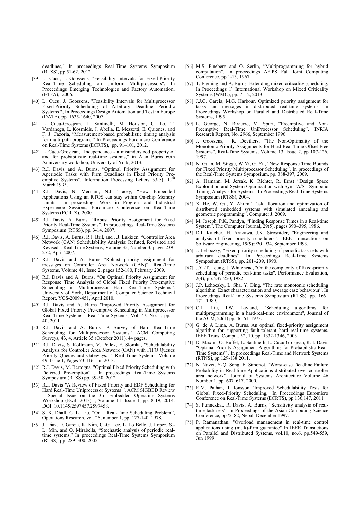deadlines," In proceedings Real-Time Systems Symposium (RTSS), pp.51-62, 2012.

- [39] L. Cucu, J. Goossens, "Feasibility Intervals for Fixed-Priority Real-Time Scheduling on Uniform Multiprocessors", In Proceedings Emerging Technologies and Factory Automation, (ETFA),. 2006.
- [40] L. Cucu, J. Goossens, "Feasibility Intervals for Multiprocessor Fixed-Priority Scheduling of Arbitrary Deadline Periodic Systems ", In Proceedings Design Automation and Test in Europe (DATE), pp. 1635-1640, 2007.
- [41] L. Cucu-Grosjean, L. Santinelli, M. Houston, C. Lo, T. Vardanega, L. Kosmidis, J. Abella, E. Mezzetti, E. Quiones, and F. J. Cazorla, "Measurement-based probabilistic timing analysis for multi-path programs." In Proceedings Euromicro Conference on Real-Time Systems (ECRTS), pp. 91–101, 2012.
- [42] L. Cucu-Grosiean, "Independance a misunderstood property of and for probabilistic real-time systems," in Alan Burns 60th Anniversary workshop, University of York, 2013.
- [43] R.I. Davis and A. Burns, "Optimal Priority Assignment for Aperiodic Tasks with Firm Deadlines in Fixed Priority Pre-<br>emptive Systems". Information Processing Letters 53(5). 10<sup>th</sup> March 1995.
- [44] R.I. Davis, N. Merriam, N.J. Tracey, "How Embedded Applications Using an RTOS can stay within On-chip Memory Limits". In proceedings Work in Progress and Industrial Experience Sessions, Euromicro Conference on Real-Time Systems (ECRTS), 2000.
- [45] R.I. Davis, A. Burns. "Robust Priority Assignment for Fixed Priority Real-Time Systems". In proceedings Real-Time Systems Symposium (RTSS), pp. 3-14. 2007.
- [46] R.I. Davis, A. Burns, R.J. Bril, and J.J. Lukkien. "Controller Area Network (CAN) Schedulability Analysis: Refuted, Revisited and Revised". Real-Time Systems, Volume 35, Number 3, pages 239- 272, April 2007.
- [47] R.I. Davis and A. Burns "Robust priority assignment for messages on Controller Area Network (CAN)". Real-Time Systems, Volume 41, Issue 2, pages 152-180, February 2009.
- [48] R.I. Davis and A. Burns, "On Optimal Priority Assignment for Response Time Analysis of Global Fixed Priority Pre-emptive Scheduling in Multiprocessor Hard Real-Time Systems". University of York, Department of Computer Science Technical Report, YCS-2009-451, April 2010.
- [49] R.I. Davis and A. Burns "Improved Priority Assignment for Global Fixed Priority Pre-emptive Scheduling in Multiprocessor Real-Time Systems". Real-Time Systems, Vol. 47, No. 1, pp.1- 40, 2011.
- [50] R.I. Davis and A. Burns "A Survey of Hard Real-Time Scheduling for Multiprocessor Systems." ACM Computing Surveys, 43, 4, Article 35 (October 2011), 44 pages.
- [51] R.I. Davis, S. Kollmann, V. Pollex, F. Slomka, "Schedulability Analysis for Controller Area Network (CAN) with FIFO Queues Priority Queues and Gateways. ". Real-Time Systems, Volume 49, Issue 1, Pages 73-116, Jan 2013.
- [52] R.I. Davis, M. Bertogna "Optimal Fixed Priority Scheduling with Deferred Pre-emption" . In proceedings Real-Time Systems Symposium (RTSS) pp. 39-50, 2012.
- [53] R.I. Davis "A Review of Fixed Priority and EDF Scheduling for Hard Real-Time Uniprocessor Systems ". ACM SIGBED Review - Special Issue on the 3rd Embedded Operating Systems Workshop (Ewili 2013). , Volume 11, Issue 1, pp. 8-19, 2014. DOI: 10.1145/2597457.2597458.
- [54] S. K. Dhall, C. L. Liu, "On a Real-Time Scheduling Problem", Operations Research, vol. 26, number 1, pp. 127-140, 1978.
- [55] J. Diaz, D. Garcia, K. Kim, C.-G. Lee, L. Lo Bello, J. Lopez, S.- L. Min, and O. Mirabella, "Stochastic analysis of periodic realtime systems," In proceedings Real-Time Systems Symposium (RTSS), pp. 289–300, 2002.
- [56] M.S. Fineberg and O. Serlin, "Multiprogramming for hybrid computation", In proceedings AFIPS Fall Joint Computing Conference, pp 1-13, 1967.
- [57] T. Fleming and A. Burns. Extending mixed criticality scheduling. In Proceedings 1<sup>st</sup> International Workshop on Mixed Criticality Systems (WMC), pp. 7–12, 2013.
- [58] J.J.G. Garcia, M.G. Harbour. Optimized priority assignment for tasks and messages in distributed real-time systems. In Proceedings Workshop on Parallel and Distributed Real-Time Systems, 1995.
- [59] L. George, N. Rivierre, M. Spuri, "Preemptive and Non-Preemptive Real-Time UniProcessor Scheduling", INRIA Research Report, No. 2966, September 1996.
- [60] J. Goossens, R. Devillers, "The Non-Optimality of the Monotonic Priority Assignments for Hard Real-Time Offset Free Systems", Real-Time Systems, Volume 13, Issue 2, pp 107-126, 1997.
- [61] N. Guan, M. Stigge, W.Yi, G. Yu, "New Response Time Bounds for Fixed Priority Multiprocessor Scheduling". In proceedings of the Real-Time Systems Symposium, pp. 388-397, 2009.
- [62] A. Hamann, M. Jersak, K. Richter, R. Ernst "Design Space Exploration and System Optimization with SymTA/S - Symbolic Timing Analysis for Systems" In Proceedings Real-Time Systems Symposium (RTSS), 2004.
- [63] X. He, W. Gu, Y. Ahum "Task allocation and optimization of distributed embedded systems with simulated annealing and geometric programming". Computer J. 2009.
- [64] M. Joseph, P.K. Pandya, "Finding Response Times in a Real-time System". The Computer Journal, 29(5), pages 390–395, 1986.
- [65] D.I. Katcher, H. Arakawa, J.K. Strosnider, "Engineering and analysis of fixed priority schedulers". IEEE Transactions on Software Engineering, 19(9):920–934, September 1993.
- [66] J. Lehoczky, "Fixed priority scheduling of periodic task sets with arbitrary deadlines". In Proceedings Real-Time Systems Symposium (RTSS), pp. 201–209, 1990.
- [67] J.Y.-T. Leung, J. Whitehead, "On the complexity of fixed-priority scheduling of periodic real-time tasks". Performance Evaluation, 2(4), pp. 237-250, 1982.
- [68] J.P. Lehoczky, L. Sha, Y. Ding, "The rate monotonic scheduling algorithm: Exact characterization and average case behaviour". In Proceedings Real-Time Systems Symposium (RTSS), pp. 166– 171, 1989.
- [69] C.L. Liu, J.W. Layland, "Scheduling algorithms for multiprogramming in a hard-real-time environment", Journal of the ACM, 20(1) pp. 46-61, 1973.
- [70] G. de A Lima, A. Burns. An optimal fixed-priority assignment algorithm for supporting fault-tolerant hard real-time systems. IEEE Trans. Comput. 52, 10, pp. 1332-1346, 2003..
- [71] D. Maxim, O. Buffet, L. Santinelli, L. Cucu-Grosjean, R. I. Davis "Optimal Priority Assignment Algorithms for Probabilistic Real-Time Systems" . In proceedings Real-Time and Network Systems (RTNS), pp.129-138 2011.
- [72] N. Navet, Y-Q. Song, F. Simonot. "Worst-case Deadline Failure Probability in Real-time Applications distributed over controller area network". Journal of Systems Architecture Volume 46 Number 1. pp. 607–617. 2000.
- [73] R.M. Pathan, J. Jonsson "Improved Schedulability Tests for Global Fixed-Priority Scheduling," In Proceedings Euromicro Conference on Real-Time Systems (ECRTS), pp.136,147, 2011
- [74] S. Punnekkat, R. Davis, A. Burns, "Sensitivity analysis of realtime task sets". In Proceedings of the Asian Computing Science Conference, pp72–82, Nepal, December 1997.
- [75] P. Ramanathan, "Overload management in real-time control applications using (m, k)-firm guarantee" In IEEE Transactions on Parallel and Distributed Systems, vol.10, no.6, pp.549-559, Jun 1999